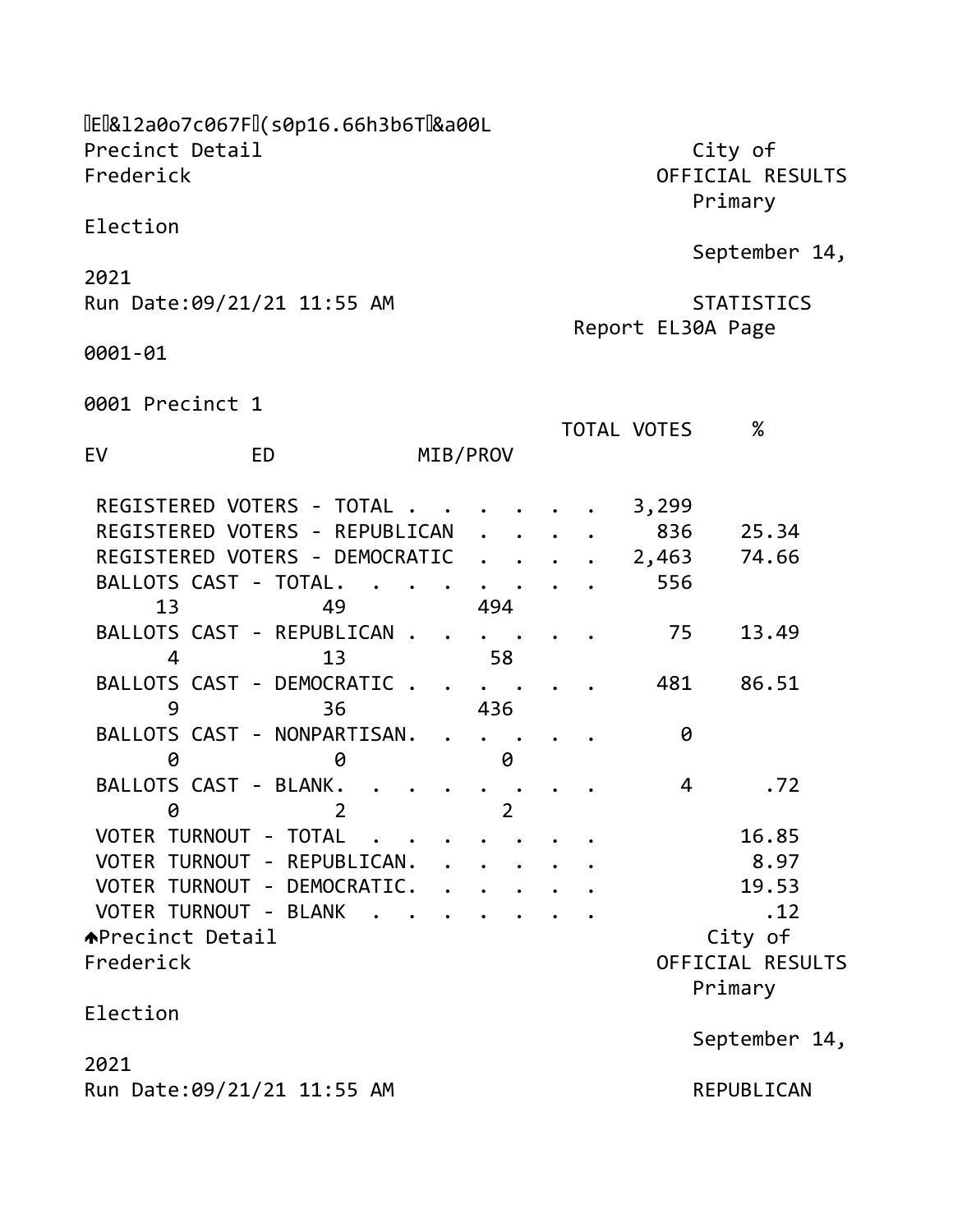| Precinct Detail<br>Frederick   |        |                      |  |             | City of<br>OFFICIAL RESULTS<br>Primary |
|--------------------------------|--------|----------------------|--|-------------|----------------------------------------|
| Election                       |        |                      |  |             |                                        |
| 2021                           |        |                      |  |             | September 14,                          |
| Run Date: 09/21/21 11:55 AM    |        |                      |  |             | <b>STATISTICS</b><br>Report EL30A Page |
| 0001-01                        |        |                      |  |             |                                        |
| 0001 Precinct 1                |        |                      |  |             |                                        |
| EV<br><b>ED</b>                |        | MIB/PROV             |  | TOTAL VOTES | $\%$                                   |
| REGISTERED VOTERS - TOTAL .    |        |                      |  | 3,299       |                                        |
| REGISTERED VOTERS - REPUBLICAN |        |                      |  | 836         | 25.34                                  |
| REGISTERED VOTERS - DEMOCRATIC |        | $\ddot{\phantom{0}}$ |  | 2,463       | 74.66                                  |
| BALLOTS CAST - TOTAL.          |        |                      |  | 556         |                                        |
| 13<br>49                       |        | 494                  |  |             |                                        |
| BALLOTS CAST - REPUBLICAN.     |        |                      |  | 75          | 13.49                                  |
| 4<br>13                        |        | 58                   |  |             |                                        |
| BALLOTS CAST - DEMOCRATIC.     |        |                      |  | 481         | 86.51                                  |
| 9<br>36                        |        | 436                  |  |             |                                        |
| BALLOTS CAST - NONPARTISAN.    |        |                      |  | 0           |                                        |
| 0<br>0                         |        | 0                    |  |             |                                        |
| BALLOTS CAST - BLANK.          |        |                      |  | 4           | .72                                    |
| 0<br>2                         |        | $\overline{2}$       |  |             |                                        |
| VOTER TURNOUT - TOTAL          |        |                      |  |             | 16.85                                  |
| VOTER TURNOUT - REPUBLICAN.    |        |                      |  |             | 8.97                                   |
| VOTER TURNOUT - DEMOCRATIC.    |        |                      |  |             | 19.53                                  |
| VOTER TURNOUT - BLANK          | $\sim$ |                      |  |             | .12                                    |
| <b>APrecinct Detail</b>        |        |                      |  |             | City of                                |
| Frederick                      |        |                      |  |             | OFFICIAL RESULTS                       |
|                                |        |                      |  |             | Primary                                |
| Election                       |        |                      |  |             |                                        |
|                                |        |                      |  |             | September 14,                          |
| 2021                           |        |                      |  |             |                                        |
| Run Date: 09/21/21 11:55 AM    |        |                      |  |             | REPUBLICAN                             |
|                                |        |                      |  |             |                                        |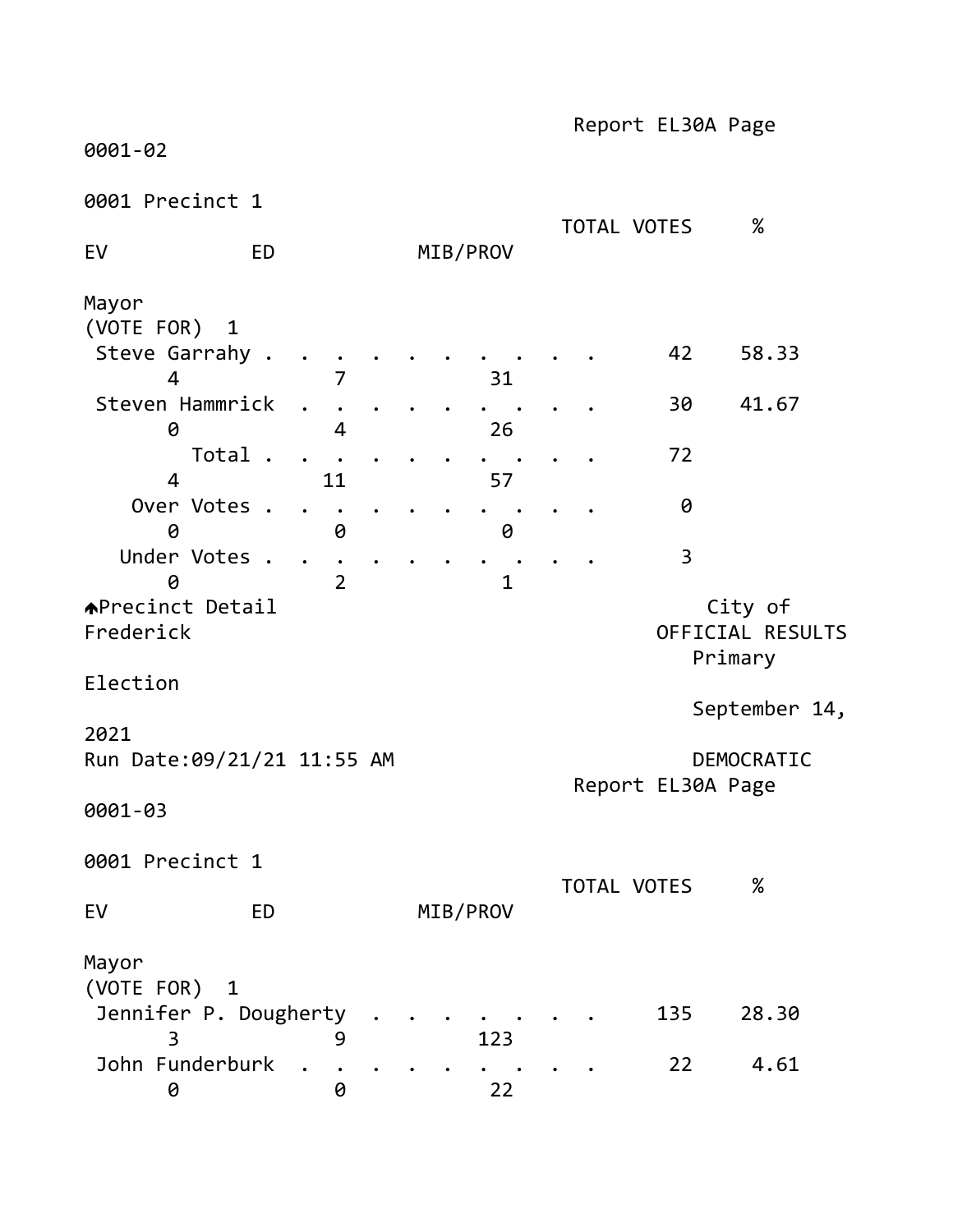0001-02

0001 Precinct 1

| 0001 Precinct 1                      |           |                |  |             | TOTAL VOTES        |     | $\%$                                   |
|--------------------------------------|-----------|----------------|--|-------------|--------------------|-----|----------------------------------------|
| EV                                   | <b>ED</b> |                |  | MIB/PROV    |                    |     |                                        |
| Mayor                                |           |                |  |             |                    |     |                                        |
| (VOTE FOR) 1<br>Steve Garrahy .<br>4 |           |                |  | 31          |                    | 42  | 58.33                                  |
| Steven Hammrick<br>0                 |           | 4              |  | 26          |                    | 30  | 41.67                                  |
| Total .<br>4                         |           | 11             |  | 57          |                    | 72  |                                        |
| Over Votes .<br>0                    |           | 0              |  | 0           |                    | 0   |                                        |
| Under Votes .<br>A                   |           | $\overline{2}$ |  | $\mathbf 1$ |                    | 3   |                                        |
| <b>APrecinct Detail</b><br>Frederick |           |                |  |             |                    |     | City of<br>OFFICIAL RESULTS<br>Primary |
| Election                             |           |                |  |             |                    |     |                                        |
| 2021                                 |           |                |  |             |                    |     | September 14,                          |
| Run Date: 09/21/21 11:55 AM          |           |                |  |             | Report EL30A Page  |     | DEMOCRATIC                             |
| 0001-03                              |           |                |  |             |                    |     |                                        |
| 0001 Precinct 1                      |           |                |  |             | <b>TOTAL VOTES</b> |     | ℅                                      |
| EV                                   | <b>ED</b> |                |  | MIB/PROV    |                    |     |                                        |
| Mayor<br>(VOTE FOR) 1                |           |                |  |             |                    |     |                                        |
| Jennifer P. Dougherty<br>3           |           | 9              |  | 123         |                    | 135 | 28.30                                  |
| John Funderburk<br>0                 |           | 0              |  | 22          |                    | 22  | 4.61                                   |

Report EL30A Page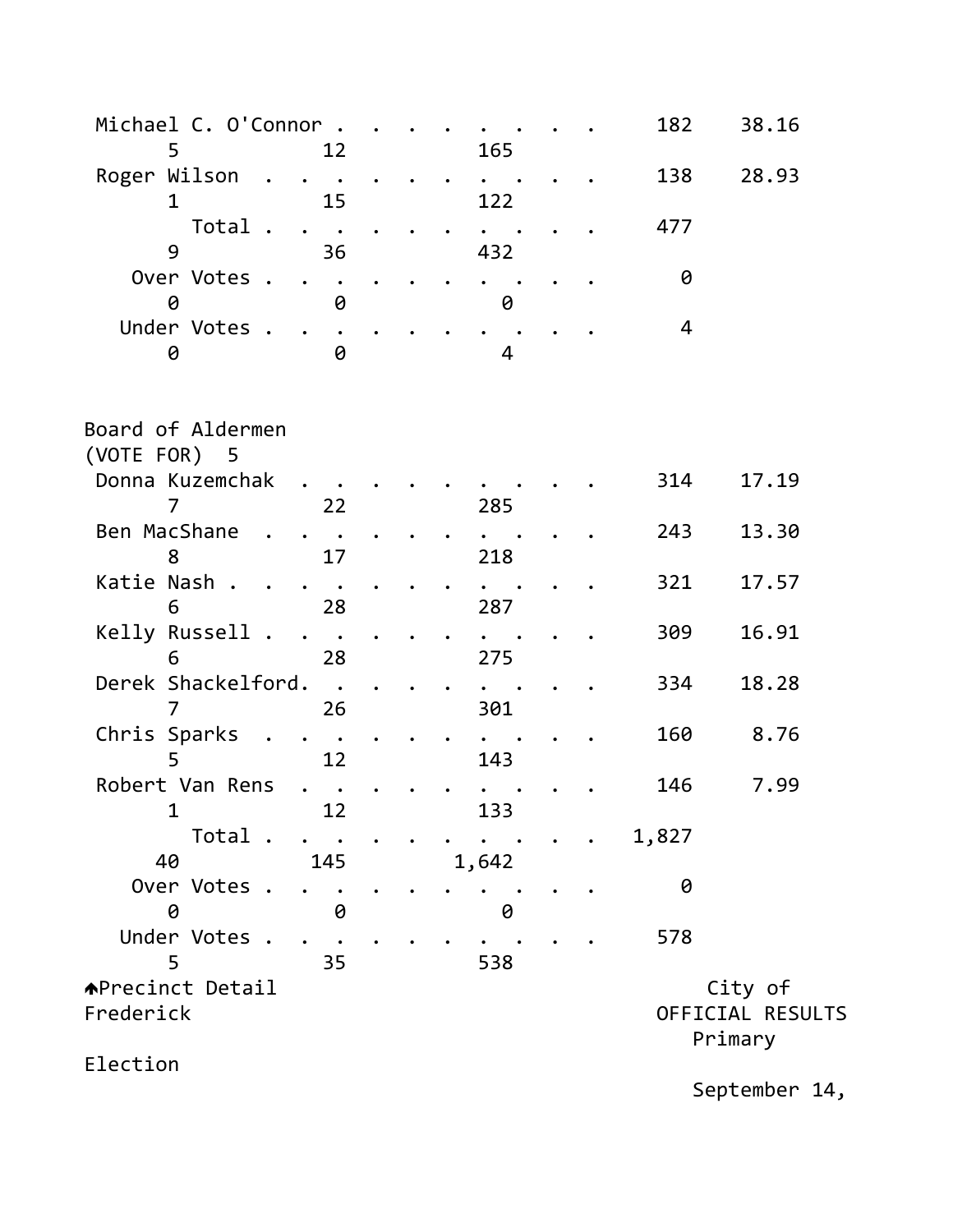| Michael C. O'Connor .          |                                             |  |       |  | 182   | 38.16                       |  |
|--------------------------------|---------------------------------------------|--|-------|--|-------|-----------------------------|--|
| 5                              | 12                                          |  | 165   |  |       |                             |  |
| Roger Wilson                   | $\bullet$                                   |  |       |  | 138   | 28.93                       |  |
| 1                              | 15                                          |  | 122   |  |       |                             |  |
| Total .<br>9                   | $\bullet$<br>$\overline{\phantom{a}}$<br>36 |  | 432   |  | 477   |                             |  |
| Over Votes .                   |                                             |  |       |  | 0     |                             |  |
| 0                              | 0                                           |  | 0     |  |       |                             |  |
| Under Votes .                  |                                             |  |       |  | 4     |                             |  |
| 0                              | 0                                           |  | 4     |  |       |                             |  |
| Board of Aldermen              |                                             |  |       |  |       |                             |  |
| (VOTE FOR) 5                   |                                             |  |       |  |       |                             |  |
| Donna Kuzemchak<br>7           | 22                                          |  | 285   |  | 314   | 17.19                       |  |
| Ben MacShane<br>8              | 17                                          |  | 218   |  | 243   | 13.30                       |  |
| Katie Nash.<br>6               | 28                                          |  | 287   |  | 321   | 17.57                       |  |
| Kelly Russell .<br>6           | 28                                          |  | 275   |  | 309   | 16.91                       |  |
| Derek Shackelford.<br>7        | $\ddot{\phantom{0}}$<br>26                  |  | 301   |  | 334   | 18.28                       |  |
| Chris Sparks<br>$\sim$<br>5    | 12                                          |  | 143   |  | 160   | 8.76                        |  |
| Robert Van Rens<br>$\mathbf 1$ | 12                                          |  | 133   |  | 146   | 7.99                        |  |
| Total.<br>40                   | 145                                         |  | 1,642 |  | 1,827 |                             |  |
| Over Votes<br>0                | 0                                           |  | 0     |  | 0     |                             |  |
| Under Votes .<br>5             | 35                                          |  | 538   |  | 578   |                             |  |
| <b>A</b> Precinct Detail       |                                             |  |       |  |       | City of                     |  |
| Frederick                      |                                             |  |       |  |       | OFFICIAL RESULTS<br>Primary |  |
| Election                       |                                             |  |       |  |       |                             |  |

September 14,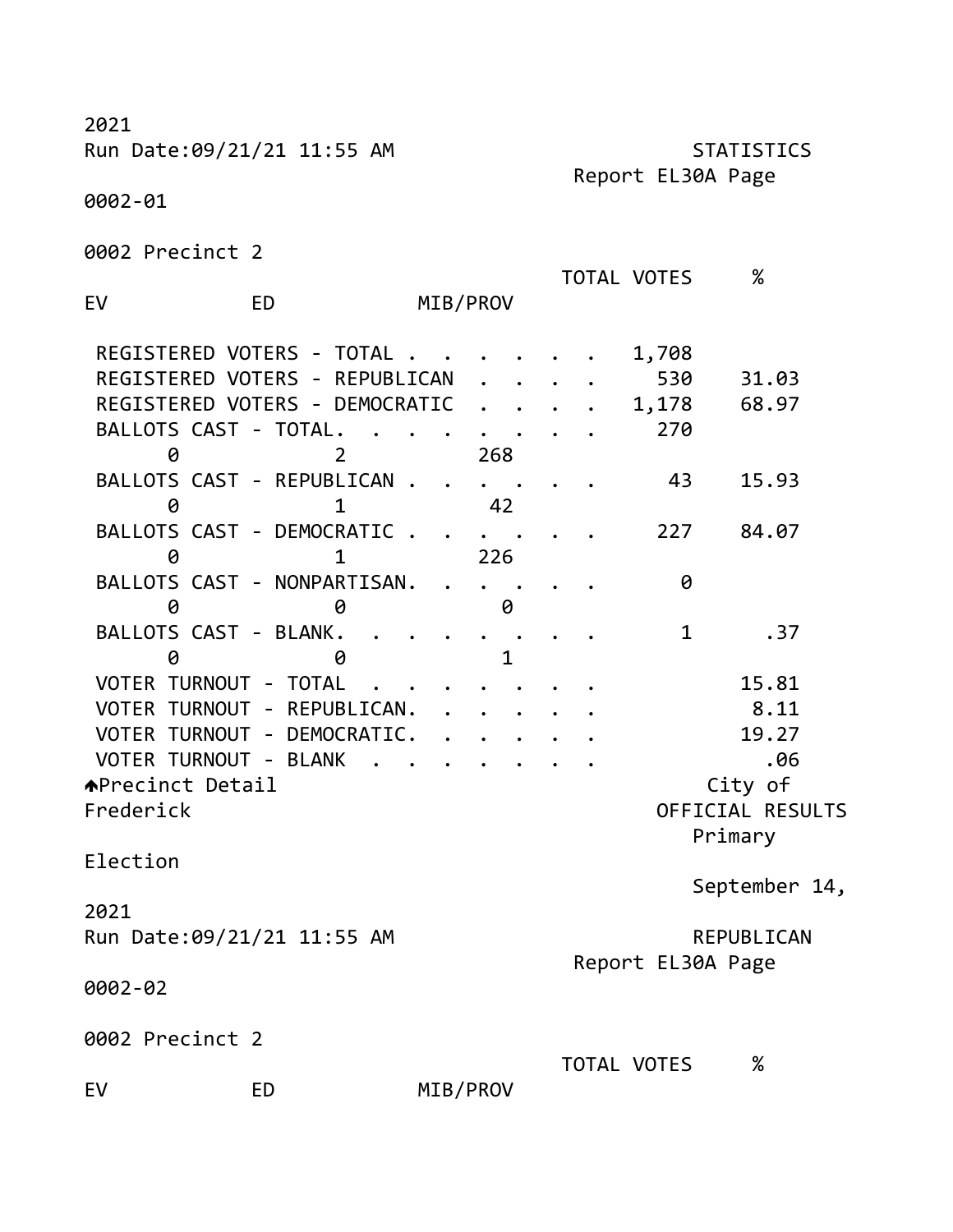2021 Run Date:09/21/21 11:55 AM STATISTICS Report EL30A Page 0002-01 0002 Precinct 2 TOTAL VOTES % EV ED MIB/PROV REGISTERED VOTERS - TOTAL . . . . . . 1,708 REGISTERED VOTERS - REPUBLICAN . . . . 530 31.03 REGISTERED VOTERS - DEMOCRATIC . . . . 1,178 68.97 BALLOTS CAST - TOTAL. . . . . . . . 270 0 2 268 BALLOTS CAST - REPUBLICAN . . . . . . 43 15.93 0 1 42 BALLOTS CAST - DEMOCRATIC . . . . . . 227 84.07 0 1 226 BALLOTS CAST - NONPARTISAN. . . . . . 0 0 0 0 BALLOTS CAST - BLANK. . . . . . . . . 1 .37 0 0 1 VOTER TURNOUT - TOTAL . . . . . . . . 15.81 VOTER TURNOUT - REPUBLICAN. . . . . . . 8.11 VOTER TURNOUT - DEMOCRATIC. . . . . . . 19.27 VOTER TURNOUT - BLANK . . . . . . . . . . . . . . . 06 APrecinct Detail and the contract of the city of Frederick OFFICIAL RESULTS Primary Election September 14, 2021 Run Date:09/21/21 11:55 AM REPUBLICAN Report EL30A Page 0002-02 0002 Precinct 2 TOTAL VOTES %

EV ED MIB/PROV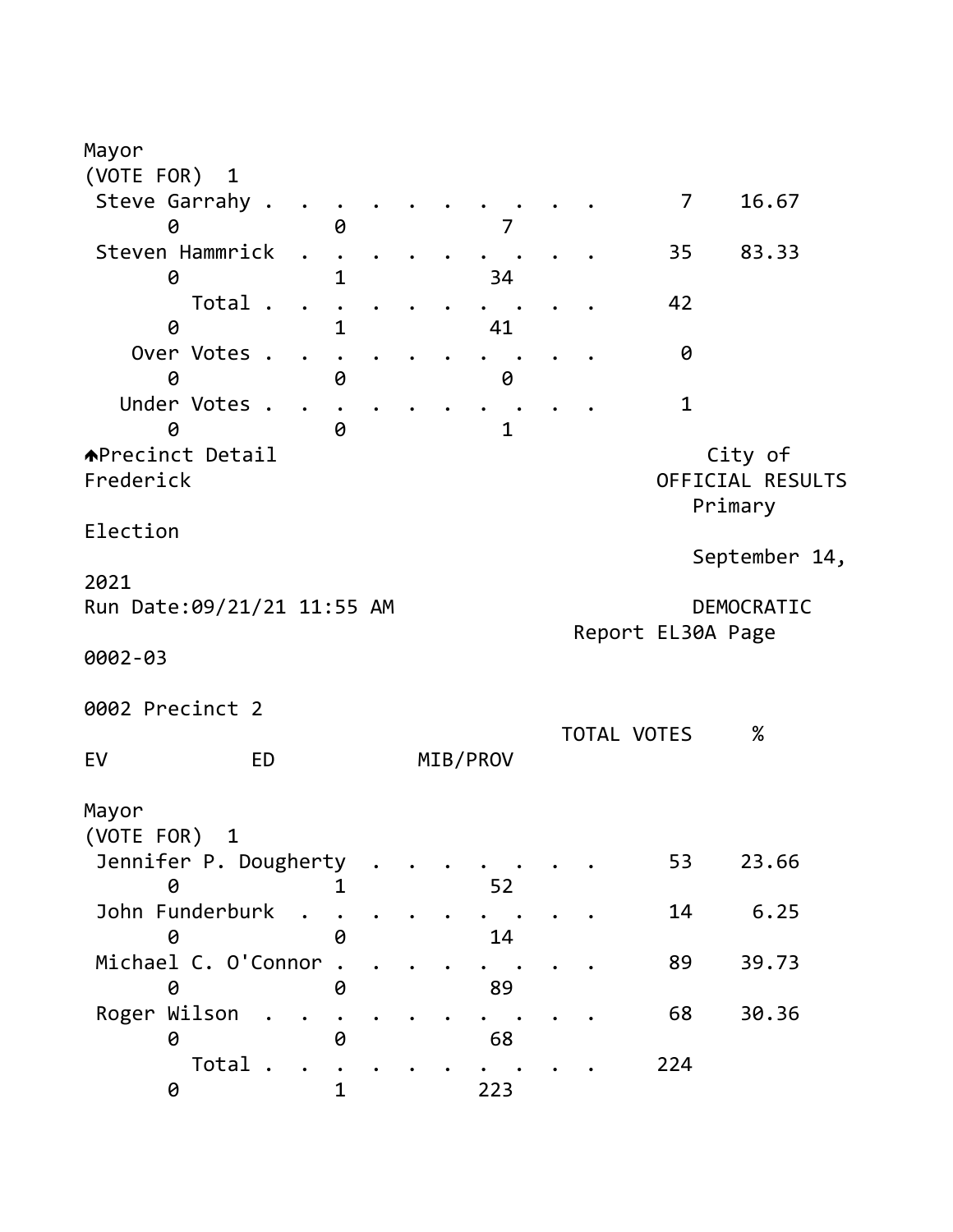| Mayor                                         |              |  |              |  |                    |                                 |
|-----------------------------------------------|--------------|--|--------------|--|--------------------|---------------------------------|
| (VOTE FOR)<br>$\mathbf{1}$<br>Steve Garrahy . |              |  |              |  | $\overline{7}$     | 16.67                           |
| 0                                             | 0            |  | 7            |  |                    |                                 |
| Steven Hammrick                               |              |  |              |  | 35                 | 83.33                           |
| 0                                             | $\mathbf 1$  |  | 34           |  |                    |                                 |
| Total .                                       |              |  |              |  | 42                 |                                 |
| 0<br>Over Votes .                             | 1            |  | 41           |  | 0                  |                                 |
| 0                                             | 0            |  | 0            |  |                    |                                 |
| Under Votes .<br>0                            | 0            |  | $\mathbf{1}$ |  | $\mathbf{1}$       |                                 |
| <b>APrecinct Detail</b>                       |              |  |              |  |                    | City of                         |
| Frederick                                     |              |  |              |  |                    | OFFICIAL RESULTS<br>Primary     |
| Election                                      |              |  |              |  |                    | September 14,                   |
| 2021                                          |              |  |              |  |                    |                                 |
| Run Date: 09/21/21 11:55 AM                   |              |  |              |  |                    | DEMOCRATIC<br>Report EL30A Page |
| 0002-03                                       |              |  |              |  |                    |                                 |
| 0002 Precinct 2                               |              |  |              |  |                    |                                 |
| EV<br><b>ED</b>                               |              |  |              |  | <b>TOTAL VOTES</b> | $\%$                            |
|                                               |              |  | MIB/PROV     |  |                    |                                 |
| Mayor                                         |              |  |              |  |                    |                                 |
| (VOTE FOR) 1                                  |              |  |              |  |                    |                                 |
| Jennifer P. Dougherty<br>0                    |              |  | 52           |  | 53                 | 23.66                           |
| John Funderburk                               |              |  |              |  | 14                 | 6.25                            |
| 0<br>Michael C. O'Connor                      | 0            |  | 14           |  | 89                 | 39.73                           |
| 0                                             | 0            |  | 89           |  |                    |                                 |
| Roger Wilson                                  |              |  |              |  | 68                 | 30.36                           |
| 0                                             | 0            |  | 68           |  |                    |                                 |
| Total<br>0                                    | $\mathbf{1}$ |  | 223          |  | 224                |                                 |
|                                               |              |  |              |  |                    |                                 |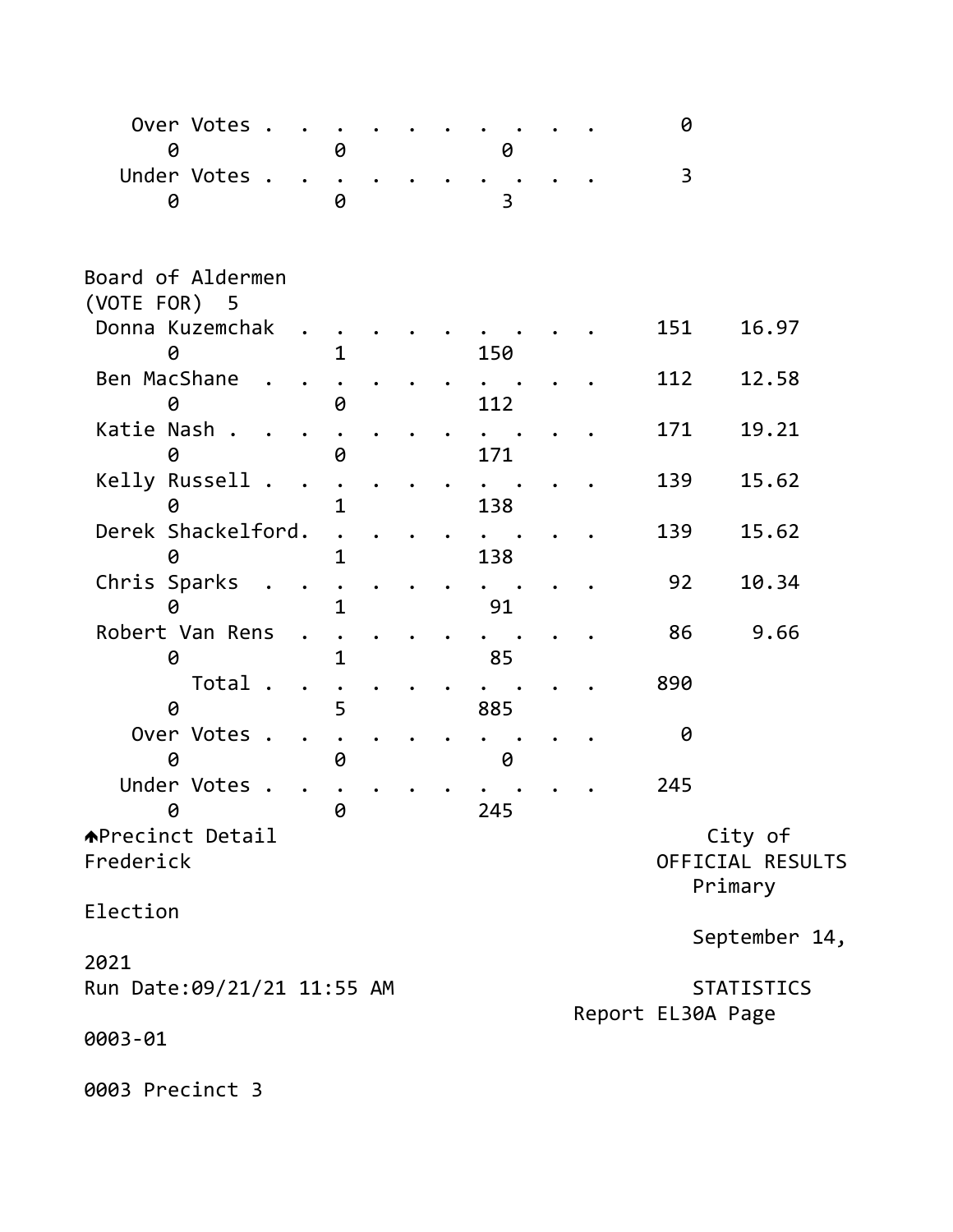| Over Votes .                |   |  |     |  | 0                 |                   |
|-----------------------------|---|--|-----|--|-------------------|-------------------|
| 0                           | 0 |  | 0   |  |                   |                   |
| Under Votes .               |   |  |     |  | 3                 |                   |
| 0                           | 0 |  | 3   |  |                   |                   |
| Board of Aldermen           |   |  |     |  |                   |                   |
| (VOTE FOR) 5                |   |  |     |  |                   |                   |
| Donna Kuzemchak             |   |  |     |  | 151               | 16.97             |
| 0                           |   |  | 150 |  |                   |                   |
| Ben MacShane                |   |  |     |  | 112               | 12.58             |
| 0                           | 0 |  | 112 |  |                   |                   |
| Katie Nash.                 |   |  |     |  | 171               | 19.21             |
| 0                           | 0 |  | 171 |  |                   |                   |
| Kelly Russell .             |   |  |     |  | 139               | 15.62             |
| 0                           | 1 |  | 138 |  |                   |                   |
| Derek Shackelford.          |   |  |     |  | 139               | 15.62             |
|                             | 1 |  | 138 |  |                   |                   |
| Chris Sparks                |   |  |     |  | 92                | 10.34             |
| 0                           | 1 |  | 91  |  |                   |                   |
| Robert Van Rens             |   |  |     |  | 86                | 9.66              |
| 0                           | 1 |  | 85  |  |                   |                   |
| Total .                     |   |  |     |  | 890               |                   |
| 0                           | 5 |  | 885 |  |                   |                   |
| Over Votes .                |   |  |     |  | 0                 |                   |
| 0                           | 0 |  | 0   |  |                   |                   |
| Under Votes .               |   |  |     |  | 245               |                   |
| 0                           | 0 |  |     |  |                   |                   |
|                             |   |  | 245 |  |                   |                   |
| <b>APrecinct Detail</b>     |   |  |     |  |                   | City of           |
| Frederick                   |   |  |     |  |                   | OFFICIAL RESULTS  |
|                             |   |  |     |  | Primary           |                   |
| Election                    |   |  |     |  |                   |                   |
|                             |   |  |     |  |                   | September 14,     |
| 2021                        |   |  |     |  |                   |                   |
| Run Date: 09/21/21 11:55 AM |   |  |     |  |                   | <b>STATISTICS</b> |
|                             |   |  |     |  | Report EL30A Page |                   |
| 0003-01                     |   |  |     |  |                   |                   |
|                             |   |  |     |  |                   |                   |
| 0003 Precinct 3             |   |  |     |  |                   |                   |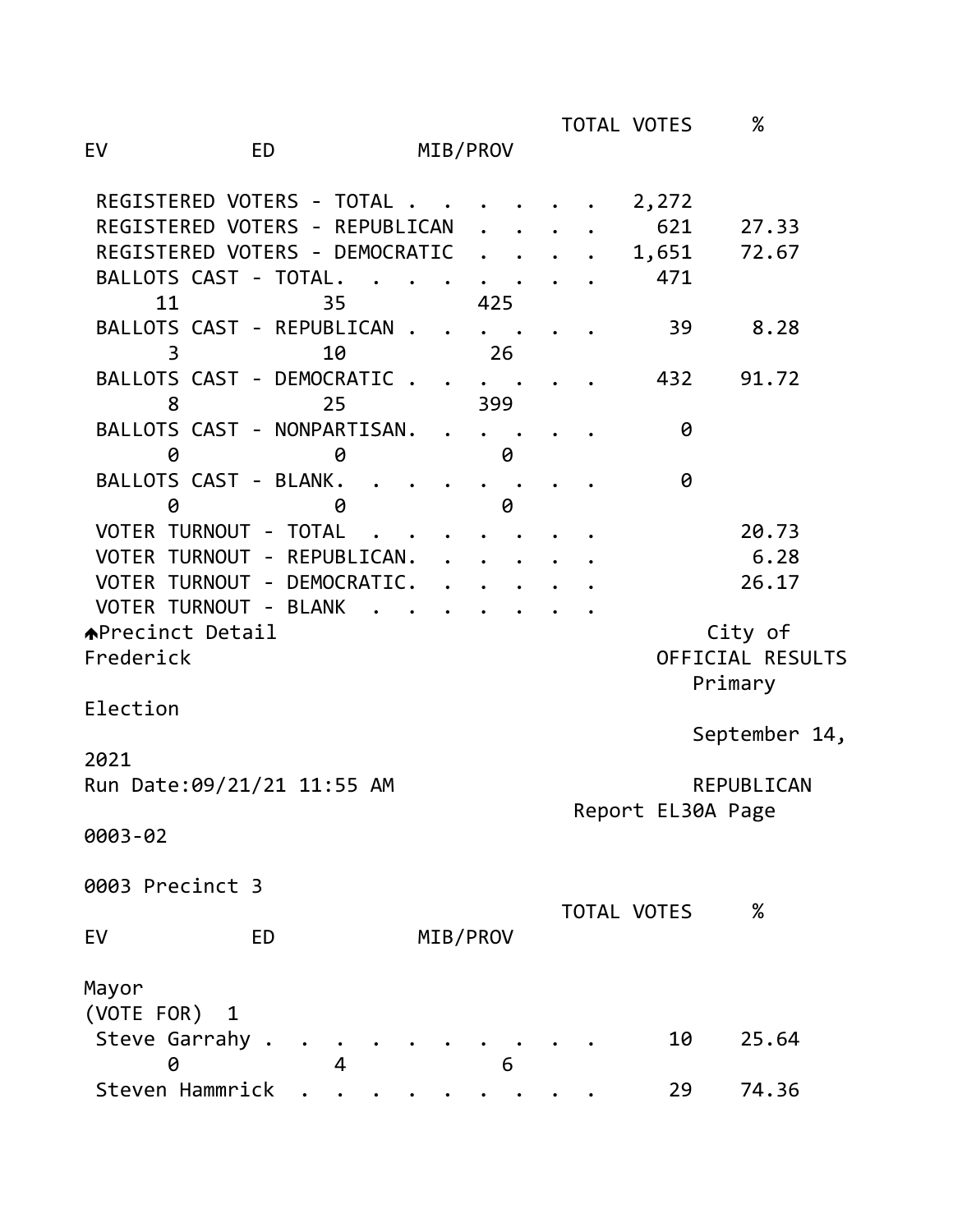TOTAL VOTES % EV ED MIB/PROV REGISTERED VOTERS - TOTAL . . . . . . 2,272 REGISTERED VOTERS - REPUBLICAN . . . . 621 27.33 REGISTERED VOTERS - DEMOCRATIC . . . . 1,651 72.67 BALLOTS CAST - TOTAL. . . . . . . . 471 11 35 425 BALLOTS CAST - REPUBLICAN . . . . . . 39 8.28 3 10 26 BALLOTS CAST - DEMOCRATIC . . . . . . 432 91.72 8 25 399 BALLOTS CAST - NONPARTISAN. . . . . . 0 0 0 0 BALLOTS CAST - BLANK. . . . . . . . 0 0 0 0 VOTER TURNOUT - TOTAL . . . . . . . . 20.73 VOTER TURNOUT - REPUBLICAN. . . . . . . 6.28 VOTER TURNOUT - DEMOCRATIC. . . . . . 26.17 VOTER TURNOUT - BLANK. APrecinct Detail and City of Frederick OFFICIAL RESULTS Primary Election September 14, 2021 Run Date:09/21/21 11:55 AM REPUBLICAN Report EL30A Page 0003-02 0003 Precinct 3 TOTAL VOTES % EV ED MIB/PROV Mayor (VOTE FOR) 1

| Steve Garrahy   |  |  |  |  |  | 10 25.64 |
|-----------------|--|--|--|--|--|----------|
| 0 4 6           |  |  |  |  |  |          |
| Steven Hammrick |  |  |  |  |  | 29 74.36 |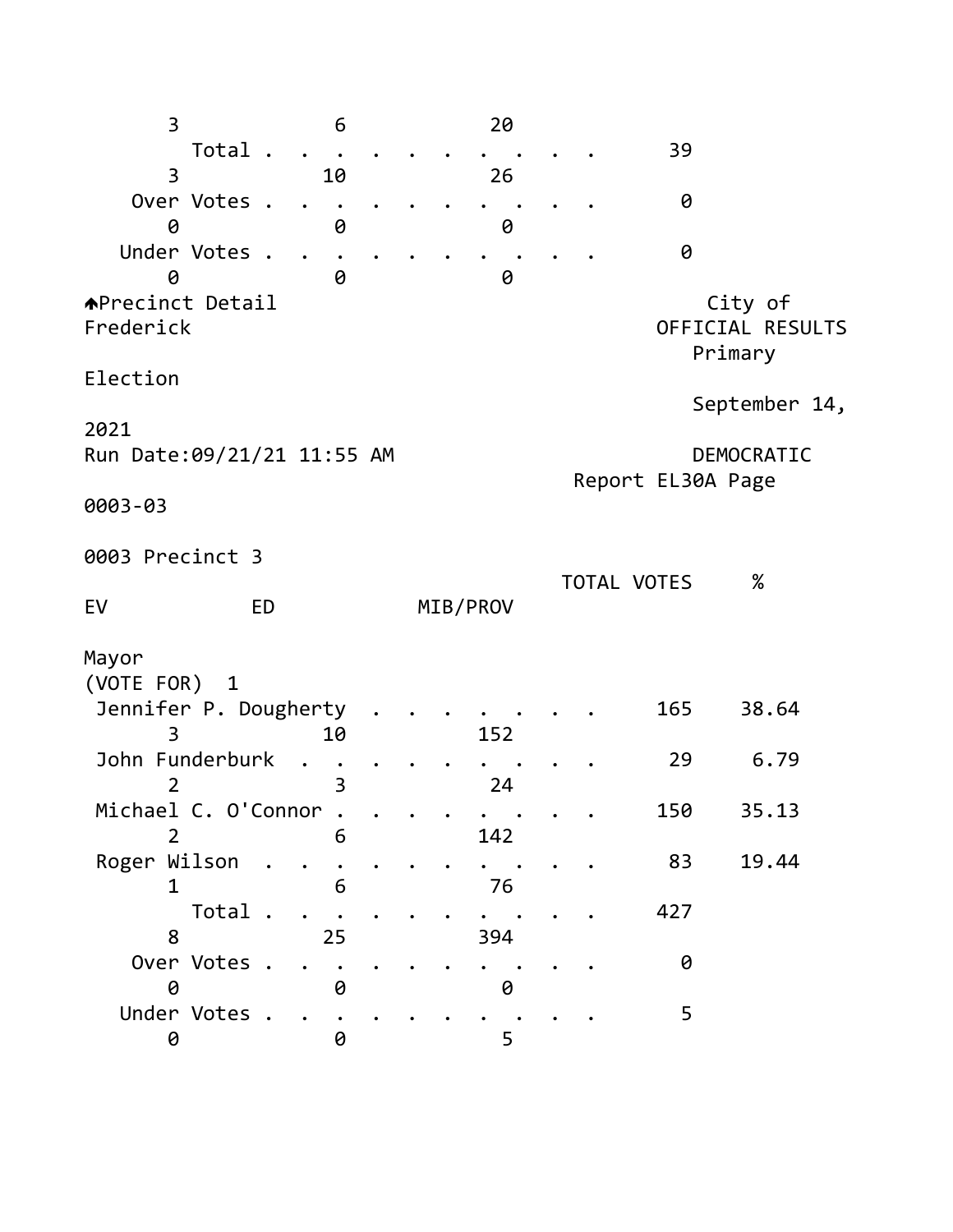3 6 20 Total . . . . . . . . . . 39 3 10 26 Over Votes . . . . . . . . . . . 0 0 0 0 Under Votes . . . . . . . . . . . 0 0 0 0 APrecinct Detail and the contract of the city of Frederick OFFICIAL RESULTS Primary Election September 14, 2021 Run Date:09/21/21 11:55 AM DEMOCRATIC Report EL30A Page 0003-03 0003 Precinct 3 TOTAL VOTES % EV ED MIB/PROV Mayor (VOTE FOR) 1 Jennifer P. Dougherty . . . . . . . 165 38.64 3 10 152 John Funderburk . . . . . . . . . . 29 6.79 2 3 24 Michael C. O'Connor . . . . . . . . . 150 35.13 2 6 142 Roger Wilson . . . . . . . . . . . 83 19.44 1 6 76 Total . . . . . . . . . . 427 8 25 394 Over Votes . . . . . . . . . . . 0 0 0 0 Under Votes . . . . . . . . . . . 5 0 0 5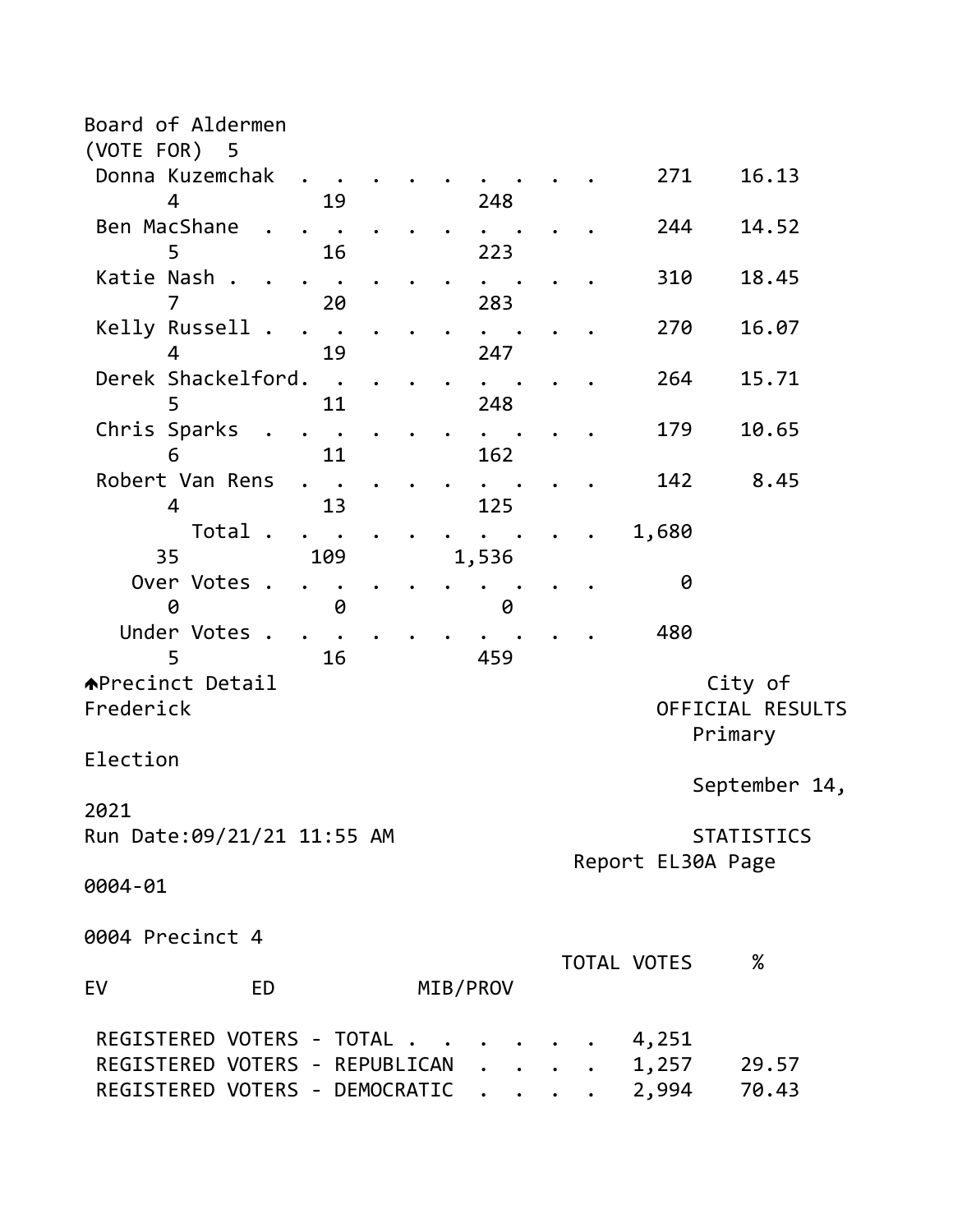| Board of Aldermen                |       |             |                   |                   |
|----------------------------------|-------|-------------|-------------------|-------------------|
| (VOTE FOR) 5                     |       |             |                   |                   |
| Donna Kuzemchak                  |       |             | 271               | 16.13             |
| 4<br>19                          | 248   |             |                   |                   |
| Ben MacShane                     |       |             | 244               | 14.52             |
| 16<br>5                          | 223   |             |                   |                   |
| Katie Nash.                      |       |             | 310               | 18.45             |
| 20                               | 283   |             |                   |                   |
| Kelly Russell .                  |       |             | 270               | 16.07             |
| 19<br>4                          | 247   |             |                   |                   |
| Derek Shackelford.<br>$\sim$     |       |             | 264               | 15.71             |
| 5<br>11                          | 248   |             |                   |                   |
| Chris Sparks<br>11<br>6          | 162   |             | 179               | 10.65             |
| Robert Van Rens                  |       |             | 142               | 8.45              |
| 4<br>13                          | 125   |             |                   |                   |
| Total.                           |       |             | 1,680             |                   |
| 35<br>109                        | 1,536 |             |                   |                   |
| Over Votes                       |       |             | 0                 |                   |
| 0<br>0                           | 0     |             |                   |                   |
| Under Votes                      |       |             | 480               |                   |
| 5<br>16                          | 459   |             |                   |                   |
| <b>APrecinct Detail</b>          |       |             |                   | City of           |
| Frederick                        |       |             |                   | OFFICIAL RESULTS  |
|                                  |       |             | Primary           |                   |
| Election                         |       |             |                   |                   |
|                                  |       |             |                   | September 14,     |
| 2021                             |       |             |                   |                   |
| Run Date: 09/21/21 11:55 AM      |       |             |                   | <b>STATISTICS</b> |
|                                  |       |             | Report EL30A Page |                   |
| 0004-01                          |       |             |                   |                   |
|                                  |       |             |                   |                   |
| 0004 Precinct 4                  |       |             |                   |                   |
|                                  |       | TOTAL VOTES |                   | $\%$              |
| MIB/PROV<br>EV<br>ED             |       |             |                   |                   |
|                                  |       |             |                   |                   |
| REGISTERED VOTERS - TOTAL        |       |             | 4,251             |                   |
| REGISTERED VOTERS - REPUBLICAN   |       |             | 1,257             | 29.57             |
| REGISTERED VOTERS - DEMOCRATIC . |       |             | 2,994             | 70.43             |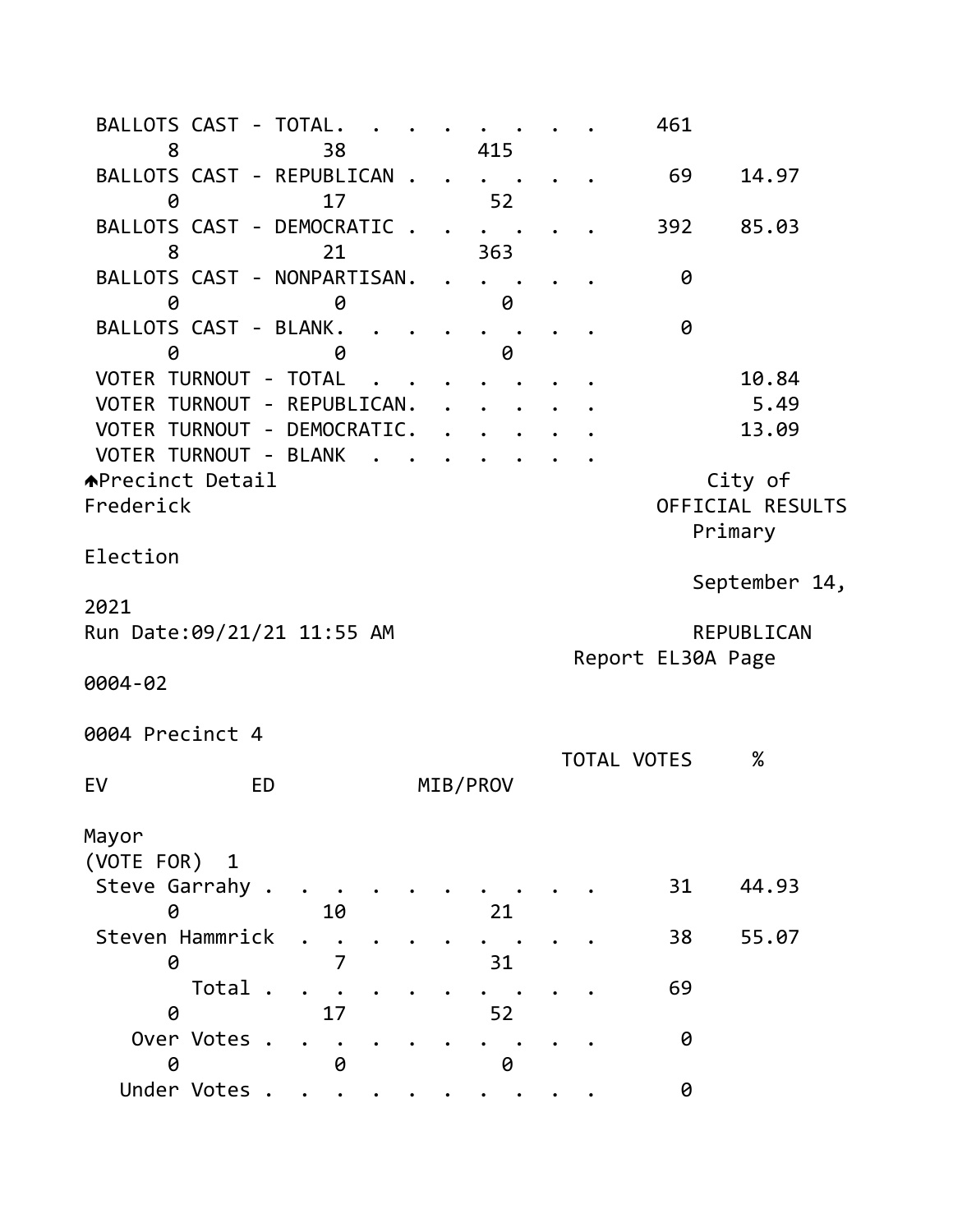BALLOTS CAST - TOTAL. . . . . . . . 461 8 38 415 BALLOTS CAST - REPUBLICAN . . . . . . 69 14.97 0 17 52 BALLOTS CAST - DEMOCRATIC . . . . . . 392 85.03 8 21 363 BALLOTS CAST - NONPARTISAN. . . . . . 0 0 0 0 BALLOTS CAST - BLANK. . . . . . . . . 0 0 0 0 VOTER TURNOUT - TOTAL . . . . . . . . . 10.84 VOTER TURNOUT - REPUBLICAN. . . . . . . 5.49 VOTER TURNOUT - DEMOCRATIC. . . . . . . 13.09 VOTER TURNOUT - BLANK . APrecinct Detail and City of Frederick OFFICIAL RESULTS Primary Election September 14, 2021 Run Date:09/21/21 11:55 AM REPUBLICAN Report EL30A Page 0004-02 0004 Precinct 4 TOTAL VOTES % EV ED MIB/PROV Mayor (VOTE FOR) 1 Steve Garrahy . . . . . . . . . . . 31 44.93 0 10 21 Steven Hammrick . . . . . . . . . . 38 55.07 0 7 31 Total . . . . . . . . . . 69 0 17 52 Over Votes . . . . . . . . . . . 0 0 0 0 Under Votes . . . . . . . . . . 0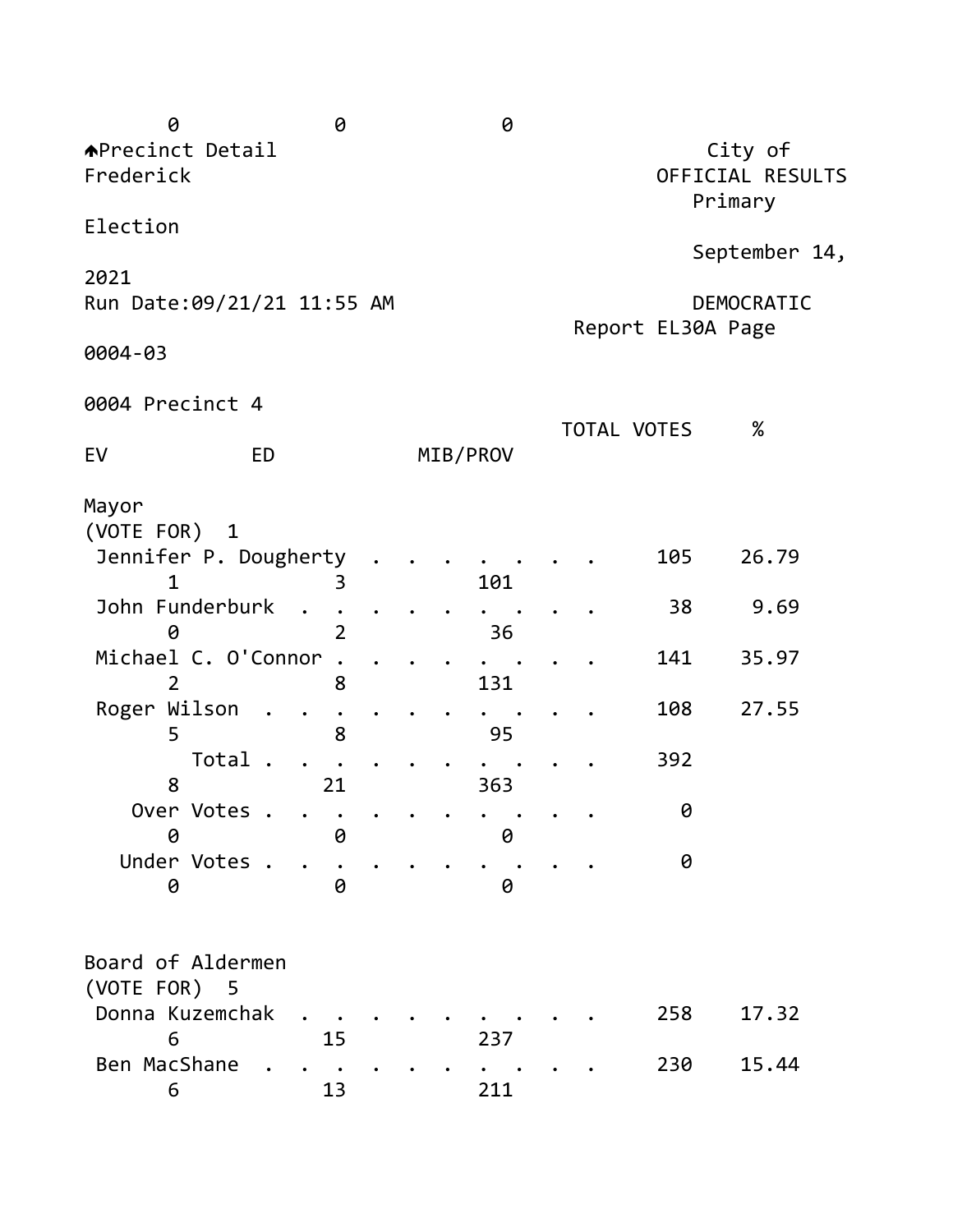| 0                                                                                                                                                                                  | 0                                   |  | 0                             |  |                                     |                                 |
|------------------------------------------------------------------------------------------------------------------------------------------------------------------------------------|-------------------------------------|--|-------------------------------|--|-------------------------------------|---------------------------------|
| <b>APrecinct Detail</b><br>Frederick                                                                                                                                               |                                     |  |                               |  |                                     | City of<br>OFFICIAL RESULTS     |
| Election                                                                                                                                                                           |                                     |  |                               |  |                                     | Primary                         |
| 2021                                                                                                                                                                               |                                     |  |                               |  |                                     | September 14,                   |
| Run Date: 09/21/21 11:55 AM                                                                                                                                                        |                                     |  |                               |  | Report EL30A Page                   | DEMOCRATIC                      |
| 0004-03                                                                                                                                                                            |                                     |  |                               |  |                                     |                                 |
| 0004 Precinct 4                                                                                                                                                                    |                                     |  |                               |  |                                     |                                 |
| <b>ED</b><br>EV                                                                                                                                                                    |                                     |  | MIB/PROV                      |  | <b>TOTAL VOTES</b>                  | $\%$                            |
| Mayor<br>(VOTE FOR)<br>$\overline{1}$<br>Jennifer P. Dougherty<br>1<br>John Funderburk<br>$\bullet$<br>0<br>Michael C. O'Connor<br>Roger Wilson<br>5<br>Total<br>8<br>Over Votes . | 3<br>$\overline{2}$<br>8<br>8<br>21 |  | 101<br>36<br>131<br>95<br>363 |  | 105<br>38<br>141<br>108<br>392<br>0 | 26.79<br>9.69<br>35.97<br>27.55 |
| 0<br>Under Votes .<br>0                                                                                                                                                            | 0<br>0                              |  | 0<br>0                        |  | 0                                   |                                 |
| Board of Aldermen<br>(VOTE FOR) 5<br>Donna Kuzemchak<br>6<br>Ben MacShane<br>6                                                                                                     | 15<br>13                            |  | 237<br>211                    |  | 258<br>230                          | 17.32<br>15.44                  |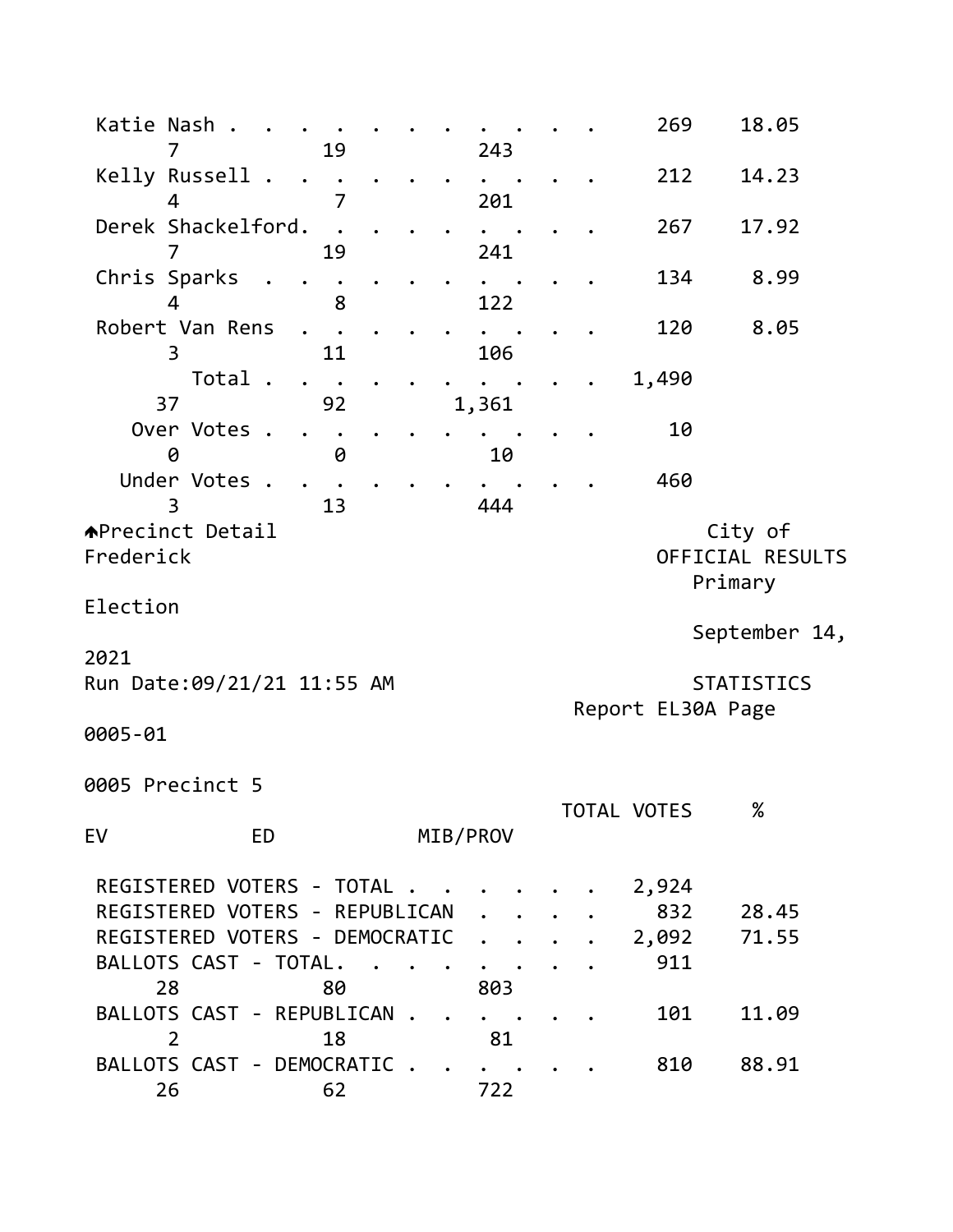| Katie Nash .<br>7                    | 19                                                                                            | 243                        |                      |                    | 269                   | 18.05                       |
|--------------------------------------|-----------------------------------------------------------------------------------------------|----------------------------|----------------------|--------------------|-----------------------|-----------------------------|
| Kelly Russell .                      |                                                                                               |                            |                      |                    | 212                   | 14.23                       |
| Δ<br>Derek Shackelford.              | 7                                                                                             | 201                        |                      |                    | 267                   | 17.92                       |
| $\overline{7}$<br>Chris Sparks       | 19                                                                                            | 241                        |                      |                    | 134                   | 8.99                        |
| 4<br>Robert Van Rens                 | 8                                                                                             | 122                        |                      |                    | 120                   | 8.05                        |
| 3<br>Total                           | 11<br>$\ddot{\phantom{a}}$                                                                    | 106                        |                      |                    | 1,490                 |                             |
| 37<br>Over Votes .                   | 92                                                                                            | 1,361                      |                      |                    | 10                    |                             |
| 0<br>Under Votes .<br>3              | 0<br>13                                                                                       | 444                        | 10                   |                    | 460                   |                             |
| <b>APrecinct Detail</b><br>Frederick |                                                                                               |                            |                      |                    | Primary               | City of<br>OFFICIAL RESULTS |
| Election                             |                                                                                               |                            |                      |                    |                       | September 14,               |
| 2021<br>Run Date:09/21/21 11:55 AM   |                                                                                               |                            |                      |                    |                       | <b>STATISTICS</b>           |
| 0005-01                              |                                                                                               |                            |                      | Report EL30A Page  |                       |                             |
| 0005 Precinct 5                      |                                                                                               |                            |                      |                    |                       |                             |
| EV                                   | <b>ED</b>                                                                                     | MIB/PROV                   |                      | <b>TOTAL VOTES</b> |                       | $\%$                        |
|                                      | REGISTERED VOTERS - TOTAL<br>REGISTERED VOTERS - REPUBLICAN<br>REGISTERED VOTERS - DEMOCRATIC |                            |                      |                    | 2,924<br>832<br>2,092 | 28.45<br>71.55              |
| BALLOTS CAST - TOTAL.<br>28          | 80                                                                                            | 803                        |                      |                    | 911                   |                             |
| $\overline{2}$                       | BALLOTS CAST - REPUBLICAN.<br>18                                                              | $\ddot{\phantom{0}}$<br>81 |                      |                    | 101                   | 11.09                       |
| 26                                   | BALLOTS CAST - DEMOCRATIC.<br>62                                                              | 722                        | $\ddot{\phantom{0}}$ |                    | 810                   | 88.91                       |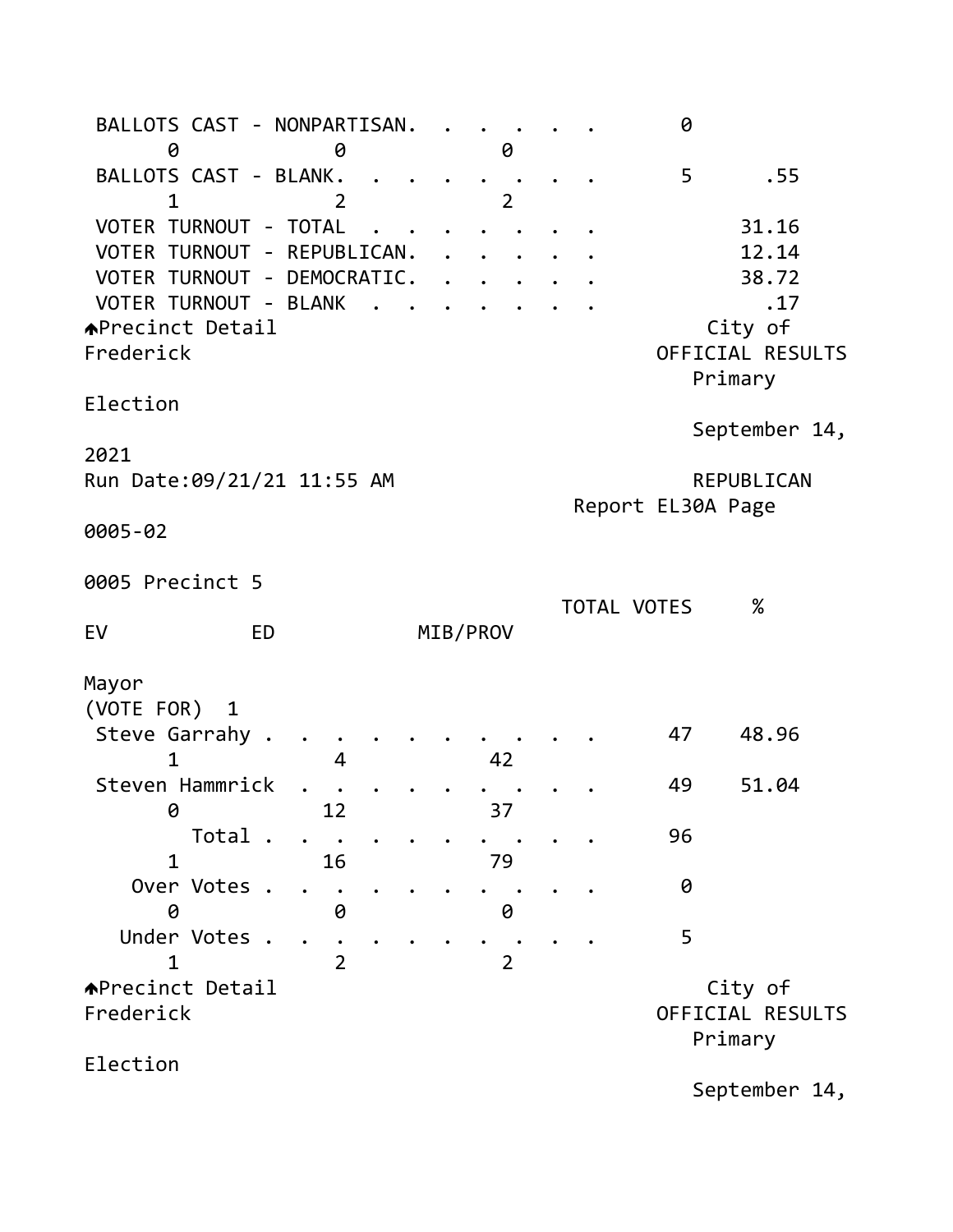BALLOTS CAST - NONPARTISAN. . . . . . 0 0 0 0 BALLOTS CAST - BLANK. . . . . . . . . 5 . 55 1 2 2 VOTER TURNOUT - TOTAL . . . . . . . . 31.16 VOTER TURNOUT - REPUBLICAN. . . . . . . 12.14 VOTER TURNOUT - DEMOCRATIC. . . . . . . 38.72 VOTER TURNOUT - BLANK . . . . . . . . . . . . . 17 ◆Precinct Detail city of Frederick OFFICIAL RESULTS Primary Election September 14, 2021 Run Date: 09/21/21 11:55 AM REPUBLICAN Report EL30A Page 0005-02 0005 Precinct 5 TOTAL VOTES % EV ED MIB/PROV Mayor (VOTE FOR) 1 Steve Garrahy . . . . . . . . . . . 47 48.96 1 4 4 4 4 4  $\sqrt{4}$ Steven Hammrick . . . . . . . . . . 49 51.04 0 12 37 Total . . . . . . . . . 96 1 16 79 Over Votes . . . . . . . . . . . 0 0 0 0 Under Votes . . . . . . . . . . . 5 1 2 2 APrecinct Detail and the contract of the contract of the contract of the contract of the contract of  $\sim$ Frederick OFFICIAL RESULTS Primary Election September 14,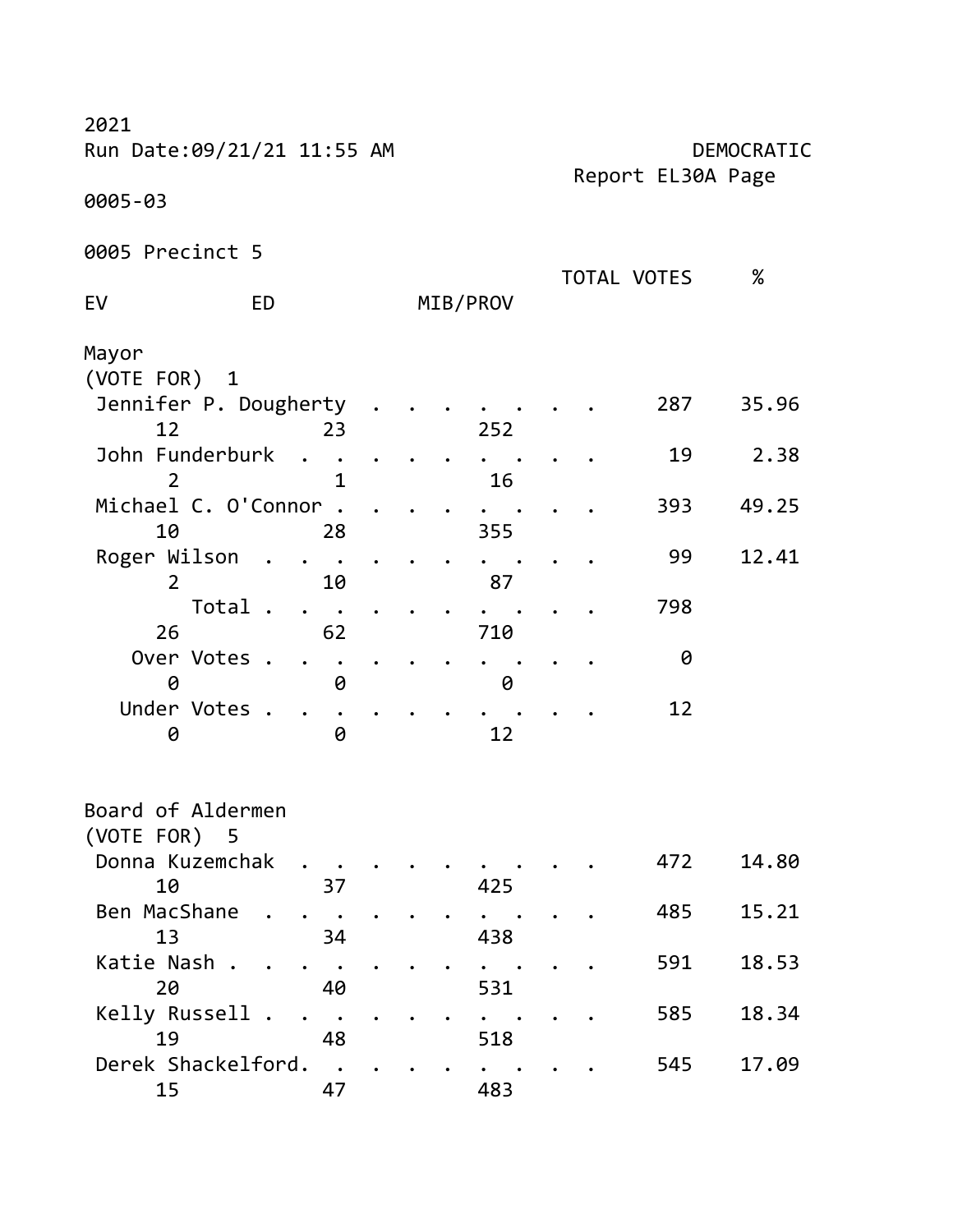| 2021<br>Run Date: 09/21/21 11:55 AM |           |  |          |  |                   | DEMOCRATIC |
|-------------------------------------|-----------|--|----------|--|-------------------|------------|
|                                     |           |  |          |  | Report EL30A Page |            |
| 0005-03                             |           |  |          |  |                   |            |
| 0005 Precinct 5                     |           |  |          |  |                   |            |
| EV<br>ED                            |           |  | MIB/PROV |  | TOTAL VOTES       | %          |
| Mayor                               |           |  |          |  |                   |            |
| (VOTE FOR) 1                        |           |  |          |  |                   |            |
| Jennifer P. Dougherty               |           |  |          |  | 287               | 35.96      |
| 12                                  | 23        |  | 252      |  |                   |            |
| John Funderburk                     |           |  |          |  | 19                | 2.38       |
|                                     | 1         |  | 16       |  |                   |            |
| Michael C. O'Connor                 |           |  |          |  | 393               | 49.25      |
| 10                                  | 28        |  | 355      |  |                   |            |
| Roger Wilson                        |           |  |          |  | 99                | 12.41      |
| 2                                   | 10        |  | 87       |  |                   |            |
| Total .                             |           |  |          |  | 798               |            |
| 26                                  | 62        |  | 710      |  |                   |            |
| Over Votes .                        |           |  |          |  | 0                 |            |
| 0                                   | 0         |  | 0        |  |                   |            |
| Under Votes .                       |           |  |          |  | 12                |            |
| 0                                   | 0         |  | 12       |  |                   |            |
| Board of Aldermen                   |           |  |          |  |                   |            |
| (VOTE FOR) 5                        |           |  |          |  |                   |            |
| Donna Kuzemchak                     |           |  |          |  | 472               | 14.80      |
| 10                                  | 37        |  | 425      |  |                   |            |
| Ben MacShane                        |           |  |          |  | 485               | 15.21      |
| 13                                  | 34        |  | 438      |  |                   |            |
| Katie Nash .                        |           |  |          |  | 591               | 18.53      |
| 20                                  | 40        |  | 531      |  |                   |            |
| Kelly Russell                       | $\bullet$ |  |          |  | 585               | 18.34      |
| 19                                  | 48        |  | 518      |  |                   |            |
| Derek Shackelford.                  | $\sim$    |  |          |  | 545               | 17.09      |
| 15                                  | 47        |  | 483      |  |                   |            |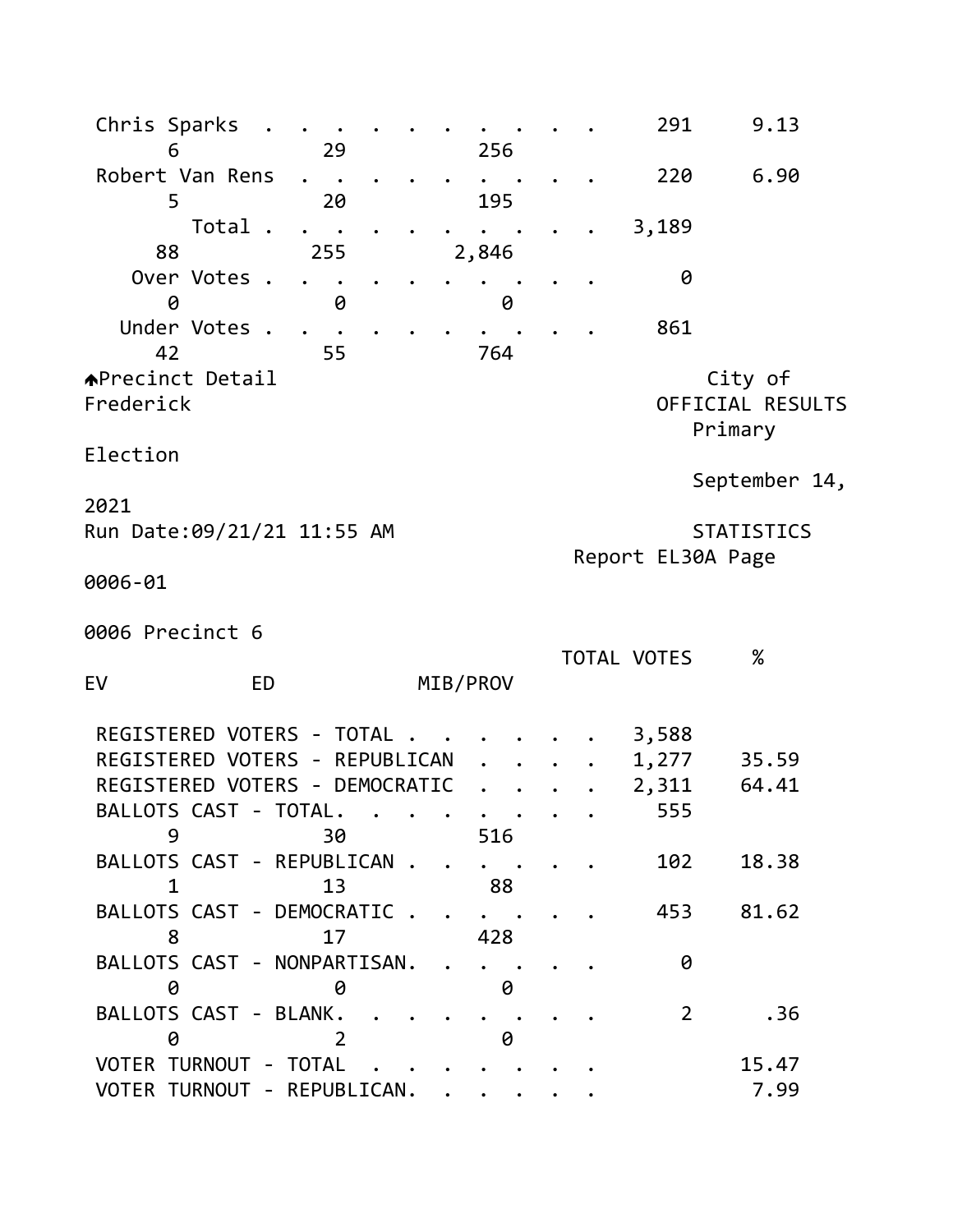| Chris Sparks                                        |     |                                            |           | 291               | 9.13              |  |
|-----------------------------------------------------|-----|--------------------------------------------|-----------|-------------------|-------------------|--|
| 6<br>Robert Van Rens                                | 29  | 256                                        |           | 220               | 6.90              |  |
| 5                                                   | 20  | 195                                        |           |                   |                   |  |
| Total .                                             |     |                                            |           | 3,189             |                   |  |
| 88                                                  | 255 | 2,846                                      |           |                   |                   |  |
| Over Votes .                                        |     |                                            |           | 0                 |                   |  |
| 0<br>Under Votes .                                  | 0   | 0                                          |           |                   |                   |  |
| 42                                                  | 55  | 764                                        |           | 861               |                   |  |
| <b>APrecinct Detail</b>                             |     |                                            |           |                   | City of           |  |
| Frederick                                           |     |                                            |           |                   | OFFICIAL RESULTS  |  |
|                                                     |     |                                            |           |                   | Primary           |  |
| Election                                            |     |                                            |           |                   |                   |  |
| 2021                                                |     |                                            |           |                   | September 14,     |  |
| Run Date:09/21/21 11:55 AM                          |     |                                            |           |                   | <b>STATISTICS</b> |  |
|                                                     |     |                                            |           | Report EL30A Page |                   |  |
| 0006-01                                             |     |                                            |           |                   |                   |  |
|                                                     |     |                                            |           |                   |                   |  |
| 0006 Precinct 6                                     |     |                                            |           |                   |                   |  |
| <b>ED</b><br>EV                                     |     | MIB/PROV                                   |           | TOTAL VOTES       | $\%$              |  |
|                                                     |     |                                            |           |                   |                   |  |
|                                                     |     |                                            |           |                   |                   |  |
| REGISTERED VOTERS - TOTAL.                          |     |                                            |           | 3,588             |                   |  |
| REGISTERED VOTERS - REPUBLICAN                      |     |                                            |           | 1,277             | 35.59             |  |
| REGISTERED VOTERS - DEMOCRATIC                      |     |                                            |           | 2,311             | 64.41             |  |
| BALLOTS CAST - TOTAL                                |     |                                            |           | 555               |                   |  |
| 9                                                   | 30  | 516                                        |           |                   |                   |  |
| BALLOTS CAST - REPUBLICAN<br>$1 \quad \blacksquare$ | 13  |                                            |           | 102               | 18.38             |  |
| BALLOTS CAST - DEMOCRATIC.                          |     | 88<br>$\cdots$                             |           | 453               | 81.62             |  |
| 8                                                   | 17  | 428                                        |           |                   |                   |  |
| BALLOTS CAST - NONPARTISAN. .                       |     | $\ddot{\bullet}$ $\ddot{\bullet}$          |           | 0                 |                   |  |
| 0                                                   | 0   | 0                                          |           |                   |                   |  |
| BALLOTS CAST - BLANK.                               |     | $\mathbf{r}$ , $\mathbf{r}$ , $\mathbf{r}$ | $\bullet$ | $\overline{2}$    | .36               |  |
| 0<br>VOTER TURNOUT - TOTAL                          | 2   | 0                                          |           |                   | 15.47             |  |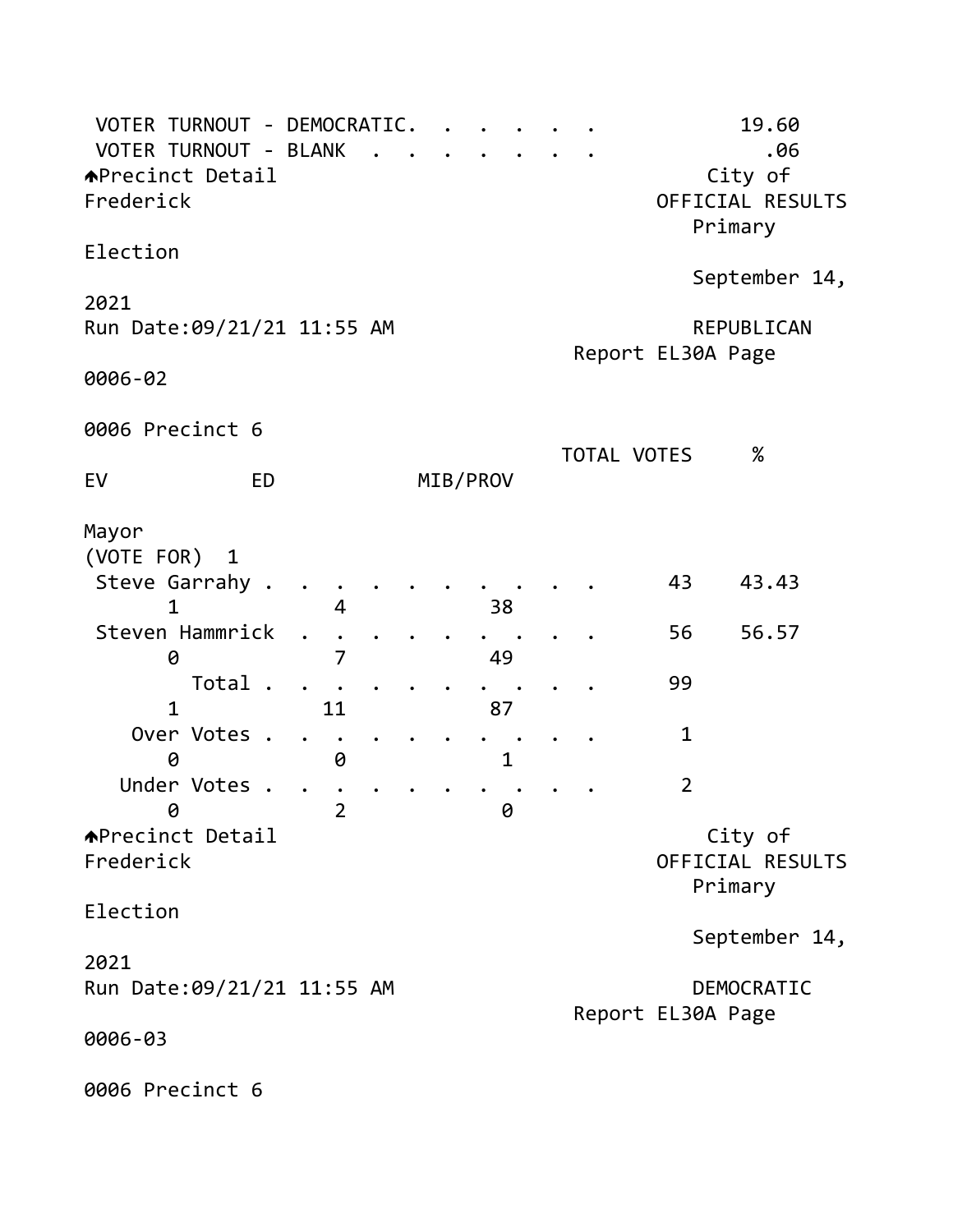| VOTER TURNOUT - DEMOCRATIC.<br>VOTER TURNOUT - BLANK<br><b>↑Precinct Detail</b><br>Frederick                                             |                                     |  |                          |                    |                                       | 19.60<br>.06<br>City of<br>OFFICIAL RESULTS<br>Primary |
|------------------------------------------------------------------------------------------------------------------------------------------|-------------------------------------|--|--------------------------|--------------------|---------------------------------------|--------------------------------------------------------|
| Election                                                                                                                                 |                                     |  |                          |                    |                                       |                                                        |
| 2021<br>Run Date: 09/21/21 11:55 AM<br>0006-02                                                                                           |                                     |  |                          |                    | Report EL30A Page                     | September 14,<br>REPUBLICAN                            |
|                                                                                                                                          |                                     |  |                          |                    |                                       |                                                        |
| 0006 Precinct 6                                                                                                                          |                                     |  |                          | <b>TOTAL VOTES</b> |                                       | $\%$                                                   |
| <b>ED</b><br>EV                                                                                                                          |                                     |  | MIB/PROV                 |                    |                                       |                                                        |
| Mayor<br>(VOTE FOR) 1<br>Steve Garrahy .<br>1<br>Steven Hammrick<br>0<br>Total.<br>$\mathbf{1}$<br>Over Votes .<br>0<br>Under Votes<br>0 | 4<br>7<br>11<br>0<br>$\overline{2}$ |  | 38<br>49<br>87<br>1<br>0 |                    | 43<br>56<br>99<br>1<br>$\overline{2}$ | 43.43<br>56.57                                         |
| <b>APrecinct Detail</b><br>Frederick                                                                                                     |                                     |  |                          |                    |                                       | City of<br>OFFICIAL RESULTS<br>Primary                 |
| Election                                                                                                                                 |                                     |  |                          |                    |                                       | September 14,                                          |
| 2021<br>Run Date: 09/21/21 11:55 AM<br>0006-03                                                                                           |                                     |  |                          |                    | Report EL30A Page                     | DEMOCRATIC                                             |
| 0006 Precinct 6                                                                                                                          |                                     |  |                          |                    |                                       |                                                        |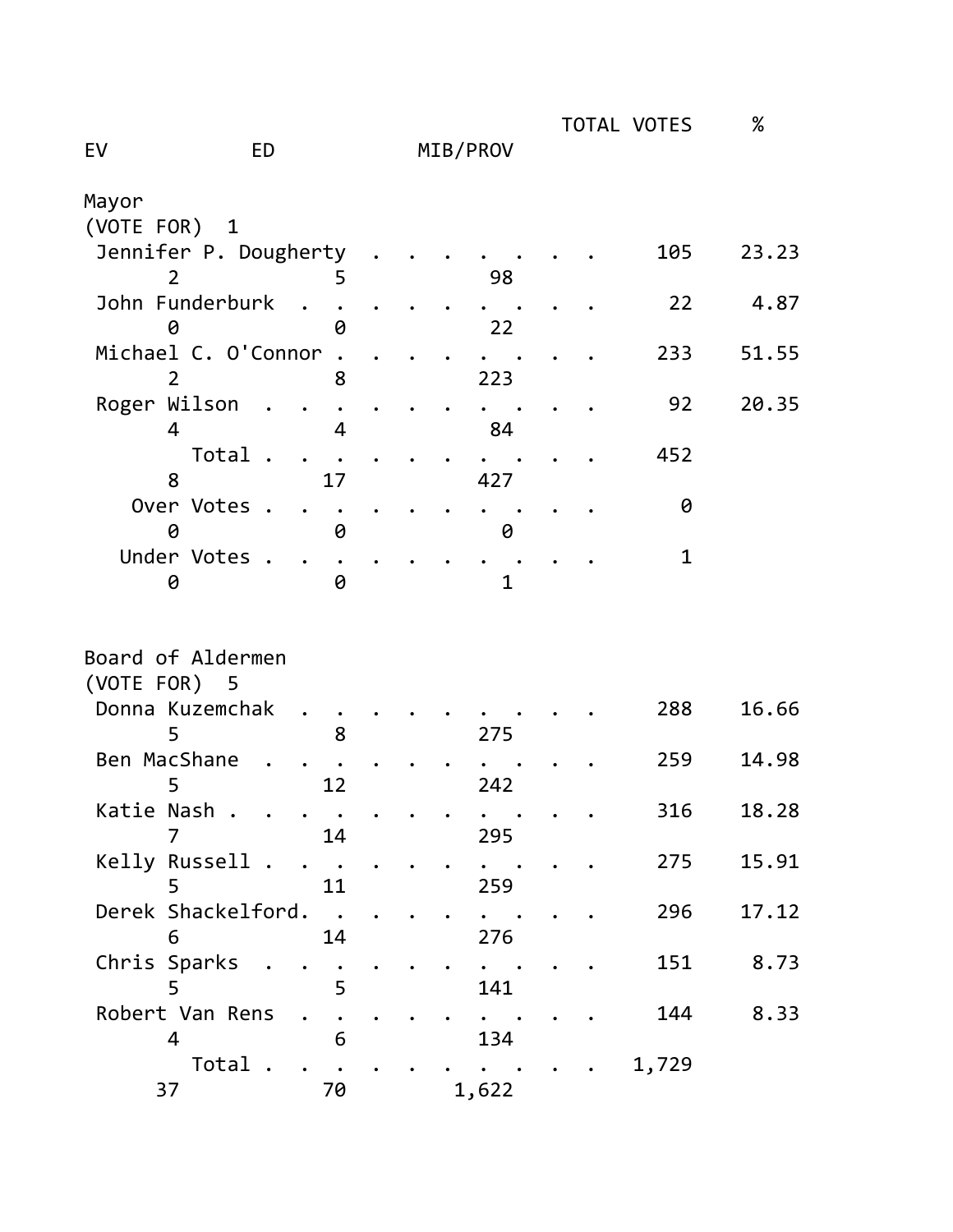|                     |                          |  |          |  | TOTAL VOTES  | %     |
|---------------------|--------------------------|--|----------|--|--------------|-------|
| EV                  | <b>ED</b>                |  | MIB/PROV |  |              |       |
| Mayor               |                          |  |          |  |              |       |
| (VOTE FOR)          | $\mathbf{1}$             |  |          |  |              |       |
|                     | Jennifer P. Dougherty    |  |          |  | 105          | 23.23 |
| $\overline{2}$      | 5                        |  | 98       |  |              |       |
| John Funderburk     |                          |  |          |  | 22           | 4.87  |
| 0                   | 0                        |  | 22       |  |              |       |
| Michael C. O'Connor |                          |  |          |  | 233          | 51.55 |
| $\overline{2}$      | 8                        |  | 223      |  |              |       |
| Roger Wilson        |                          |  |          |  | 92           | 20.35 |
| 4                   | 4                        |  | 84       |  |              |       |
|                     | Total.                   |  |          |  | 452          |       |
| 8                   | 17                       |  | 427      |  |              |       |
| Over Votes .<br>0   | 0                        |  |          |  | 0            |       |
| Under Votes .       |                          |  | 0        |  | $\mathbf{1}$ |       |
| 0                   | 0                        |  | 1        |  |              |       |
|                     |                          |  |          |  |              |       |
|                     |                          |  |          |  |              |       |
| Board of Aldermen   |                          |  |          |  |              |       |
| (VOTE FOR)          | - 5                      |  |          |  |              |       |
| Donna Kuzemchak     |                          |  |          |  | 288          | 16.66 |
| 5                   | 8                        |  | 275      |  |              |       |
| Ben MacShane        |                          |  |          |  | 259          | 14.98 |
| 5                   | 12                       |  | 242      |  |              |       |
| Katie Nash .        |                          |  |          |  | 316          | 18.28 |
| 7                   | 14                       |  | 295      |  |              |       |
| Kelly Russell .     | $\overline{\phantom{a}}$ |  |          |  | 275          | 15.91 |
| 5                   | 11                       |  | 259      |  |              |       |
| Derek Shackelford.  |                          |  |          |  | 296          | 17.12 |
| 6                   | 14                       |  | 276      |  |              |       |
| Chris Sparks        |                          |  |          |  | 151          | 8.73  |
| 5                   | 5                        |  | 141      |  |              |       |
| Robert Van Rens     |                          |  |          |  | 144          | 8.33  |
| 4                   | 6                        |  | 134      |  |              |       |
|                     | Total.                   |  |          |  | 1,729        |       |
| 37                  | 70                       |  | 1,622    |  |              |       |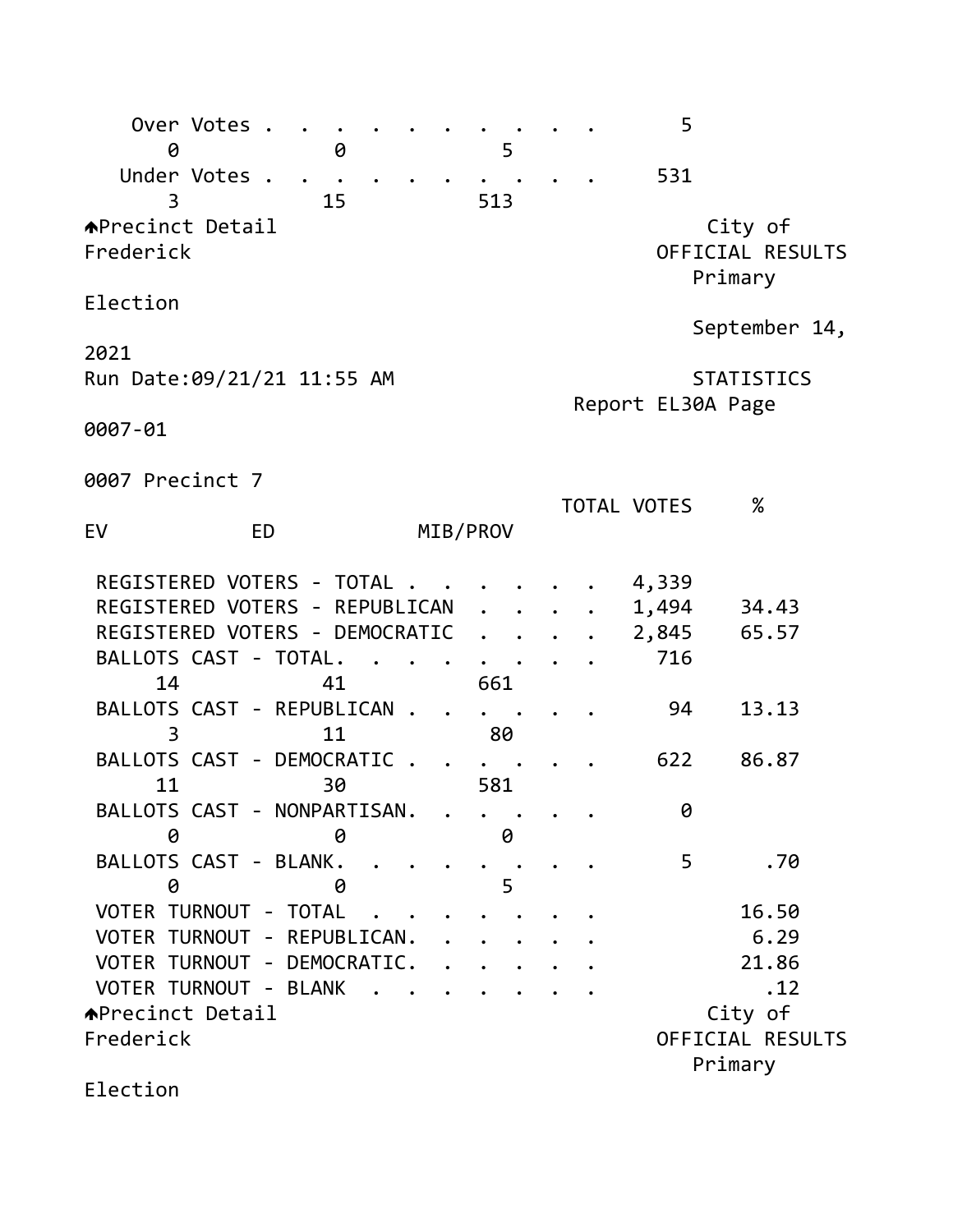| Over Votes .<br>0                    |           | 0  |        |          |     | 5 |  | 5                 |         |                             |  |
|--------------------------------------|-----------|----|--------|----------|-----|---|--|-------------------|---------|-----------------------------|--|
| Under Votes .<br>3                   |           | 15 |        |          | 513 |   |  | 531               |         |                             |  |
| <b>APrecinct Detail</b><br>Frederick |           |    |        |          |     |   |  |                   | Primary | City of<br>OFFICIAL RESULTS |  |
| Election                             |           |    |        |          |     |   |  |                   |         | September 14,               |  |
| 2021                                 |           |    |        |          |     |   |  |                   |         |                             |  |
| Run Date: 09/21/21 11:55 AM          |           |    |        |          |     |   |  | Report EL30A Page |         | <b>STATISTICS</b>           |  |
| 0007-01                              |           |    |        |          |     |   |  |                   |         |                             |  |
| 0007 Precinct 7                      |           |    |        |          |     |   |  |                   |         |                             |  |
| EV                                   | <b>ED</b> |    |        | MIB/PROV |     |   |  | TOTAL VOTES       |         | $\%$                        |  |
| REGISTERED VOTERS - TOTAL            |           |    |        |          |     |   |  | 4,339             |         |                             |  |
| REGISTERED VOTERS - REPUBLICAN       |           |    |        |          |     |   |  | 1,494             |         | 34.43                       |  |
| REGISTERED VOTERS - DEMOCRATIC       |           |    |        |          |     |   |  | 2,845             |         | 65.57                       |  |
| BALLOTS CAST - TOTAL.<br>14          |           | 41 |        |          | 661 |   |  | 716               |         |                             |  |
| BALLOTS CAST - REPUBLICAN.<br>3      |           | 11 |        |          | 80  |   |  | 94                |         | 13.13                       |  |
| BALLOTS CAST - DEMOCRATIC            |           |    |        |          |     |   |  | 622               |         | 86.87                       |  |
| 11<br>BALLOTS CAST - NONPARTISAN.    |           | 30 |        |          | 581 |   |  | 0                 |         |                             |  |
| 0                                    |           | 0  |        |          |     | 0 |  |                   |         |                             |  |
| BALLOTS CAST - BLANK.<br>0           |           | 0  |        |          |     | 5 |  | 5                 |         | .70                         |  |
| VOTER TURNOUT - TOTAL                |           |    |        |          |     |   |  |                   |         | 16.50                       |  |
| VOTER TURNOUT - REPUBLICAN.          |           |    |        |          |     |   |  |                   |         | 6.29                        |  |
| VOTER TURNOUT - DEMOCRATIC.          |           |    |        |          |     |   |  |                   |         | 21.86                       |  |
| VOTER TURNOUT - BLANK                |           |    | $\sim$ |          |     |   |  |                   |         | .12                         |  |
| <b>APrecinct Detail</b>              |           |    |        |          |     |   |  |                   |         | City of                     |  |
| Frederick                            |           |    |        |          |     |   |  |                   | Primary | OFFICIAL RESULTS            |  |
| Election                             |           |    |        |          |     |   |  |                   |         |                             |  |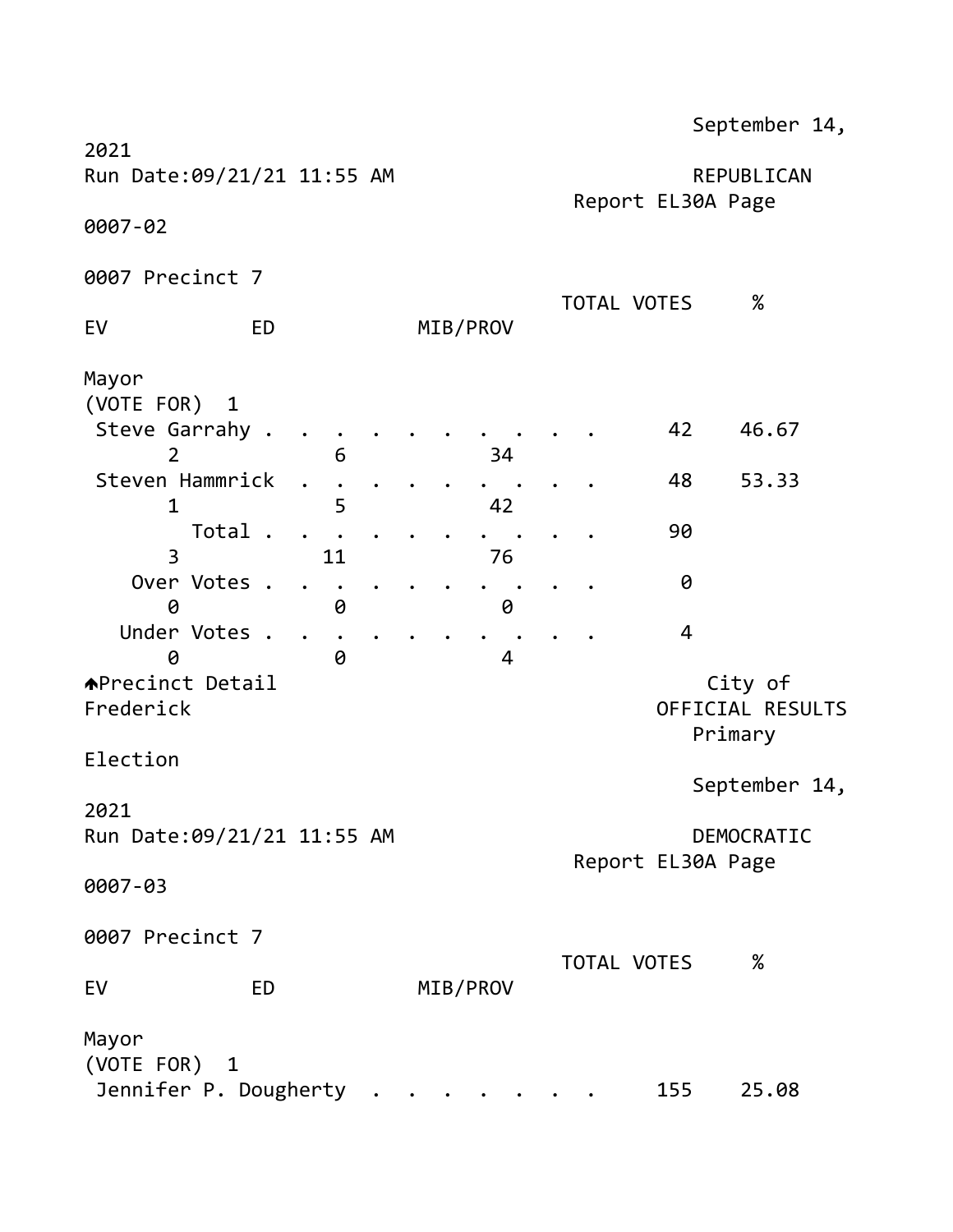|                                                                                                                                                                                                                                                                         |                        |                          |                                  | September 14,                                                                                |
|-------------------------------------------------------------------------------------------------------------------------------------------------------------------------------------------------------------------------------------------------------------------------|------------------------|--------------------------|----------------------------------|----------------------------------------------------------------------------------------------|
| 2021<br>Run Date: 09/21/21 11:55 AM                                                                                                                                                                                                                                     |                        |                          | Report EL30A Page                | REPUBLICAN                                                                                   |
| 0007-02                                                                                                                                                                                                                                                                 |                        |                          |                                  |                                                                                              |
| 0007 Precinct 7                                                                                                                                                                                                                                                         |                        |                          |                                  |                                                                                              |
| EV<br><b>ED</b>                                                                                                                                                                                                                                                         |                        | MIB/PROV                 | <b>TOTAL VOTES</b>               | $\%$                                                                                         |
| Mayor<br>(VOTE FOR)<br>$\mathbf{1}$<br>Steve Garrahy .<br>$\overline{2}$<br>Steven Hammrick<br>$\mathbf 1$<br>Total.<br>3<br>Over Votes .<br>0<br>Under Votes<br>$\sim$<br>0<br><b>APrecinct Detail</b><br>Frederick<br>Election<br>2021<br>Run Date: 09/21/21 11:55 AM | 6<br>5<br>11<br>0<br>0 | 34<br>42<br>76<br>0<br>4 | 42<br>48<br>90<br>$\overline{4}$ | 46.67<br>53.33<br>0<br>City of<br>OFFICIAL RESULTS<br>Primary<br>September 14,<br>DEMOCRATIC |
| 0007-03                                                                                                                                                                                                                                                                 |                        |                          | Report EL30A Page                |                                                                                              |
| 0007 Precinct 7                                                                                                                                                                                                                                                         |                        |                          | TOTAL VOTES                      | $\%$                                                                                         |
| EV<br><b>ED</b>                                                                                                                                                                                                                                                         |                        | MIB/PROV                 |                                  |                                                                                              |
| Mayor<br>(VOTE FOR) 1<br>Jennifer P. Dougherty                                                                                                                                                                                                                          |                        | $\sim$ $\sim$            | 155                              | 25.08                                                                                        |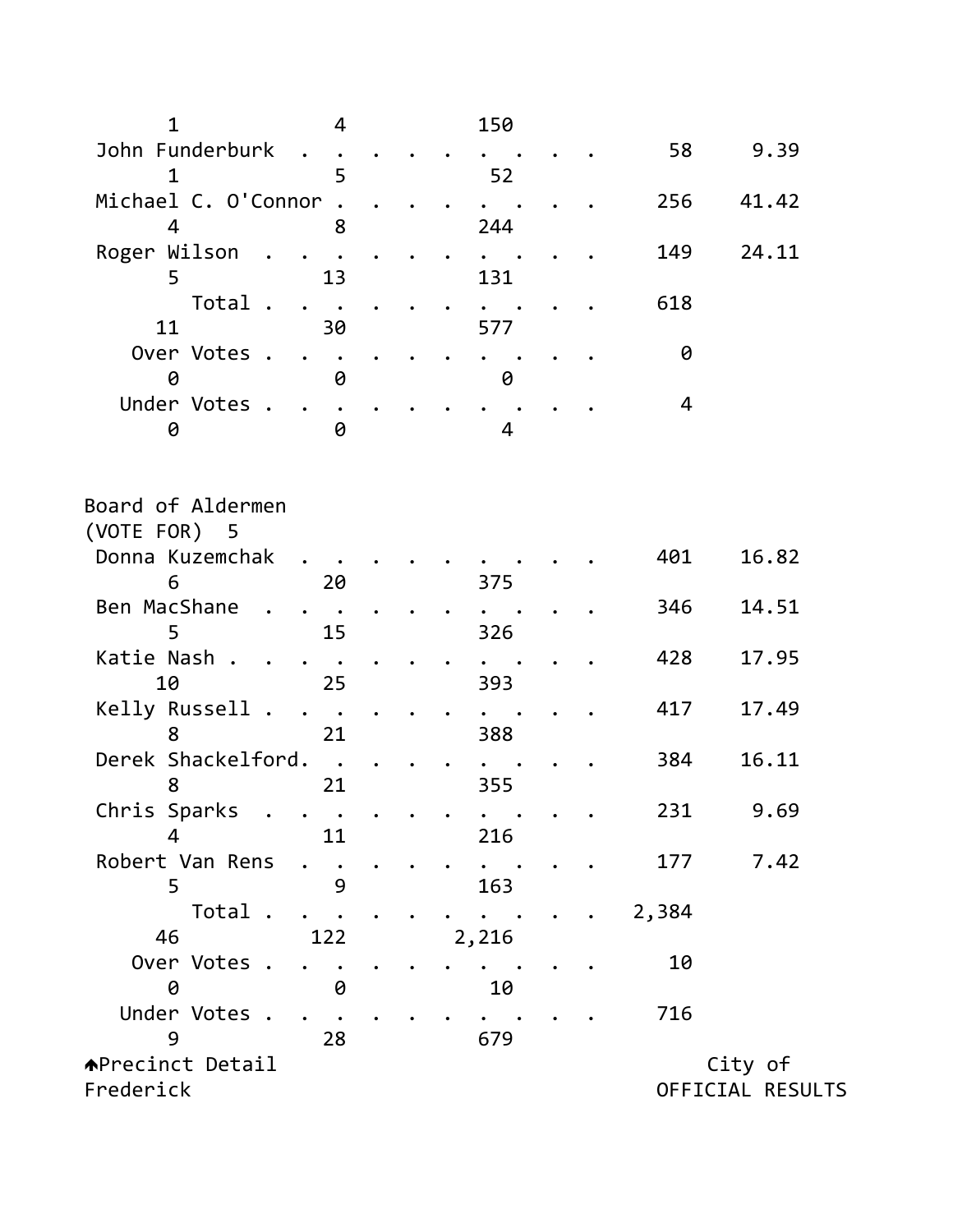| $\mathbf{1}$                      | 4                            |  | 150                                                                                                                                            |  |       |                  |  |
|-----------------------------------|------------------------------|--|------------------------------------------------------------------------------------------------------------------------------------------------|--|-------|------------------|--|
| John Funderburk<br>$\mathbf{1}$   | 5                            |  | 52                                                                                                                                             |  | 58    | 9.39             |  |
| Michael C. O'Connor<br>4          | 8                            |  |                                                                                                                                                |  | 256   | 41.42            |  |
| Roger Wilson                      |                              |  | 244                                                                                                                                            |  | 149   | 24.11            |  |
| 5<br>Total.                       | 13<br>$\bullet$              |  | 131                                                                                                                                            |  | 618   |                  |  |
| 11                                | 30                           |  | 577                                                                                                                                            |  |       |                  |  |
| Over Votes .<br>0                 | 0                            |  | 0                                                                                                                                              |  | 0     |                  |  |
| Under Votes .<br>0                | 0                            |  | 4                                                                                                                                              |  | 4     |                  |  |
| Board of Aldermen<br>(VOTE FOR) 5 |                              |  |                                                                                                                                                |  |       |                  |  |
| Donna Kuzemchak<br>6              | 20                           |  | 375                                                                                                                                            |  | 401   | 16.82            |  |
| Ben MacShane                      |                              |  |                                                                                                                                                |  | 346   | 14.51            |  |
| 5<br>Katie Nash.                  | 15                           |  | 326                                                                                                                                            |  | 428   | 17.95            |  |
| 10<br>Kelly Russell .             | 25<br>$\bullet$              |  | 393                                                                                                                                            |  | 417   | 17.49            |  |
| 8<br>Derek Shackelford.           | 21                           |  | 388                                                                                                                                            |  | 384   | 16.11            |  |
| 8                                 | 21                           |  | 355                                                                                                                                            |  |       |                  |  |
| Chris Sparks<br>4                 | $\bullet$<br>$\bullet$<br>11 |  | $\bullet$ .<br><br><br><br><br><br><br><br><br><br><br><br><br><br><br><br><br><br><br><br><br><br><br><br><br><br><br><br><br><br><br><br>216 |  | 231   | 9.69             |  |
| Robert Van Rens<br>5              | 9                            |  | 163                                                                                                                                            |  | 177   | 7.42             |  |
| Total.<br>46                      |                              |  |                                                                                                                                                |  | 2,384 |                  |  |
| Over Votes .                      | 122                          |  | 2,216                                                                                                                                          |  | 10    |                  |  |
| 0<br>Under Votes .                | 0                            |  | 10                                                                                                                                             |  | 716   |                  |  |
| 9                                 | 28                           |  | 679                                                                                                                                            |  |       |                  |  |
| <b>APrecinct Detail</b>           |                              |  |                                                                                                                                                |  |       | City of          |  |
| Frederick                         |                              |  |                                                                                                                                                |  |       | OFFICIAL RESULTS |  |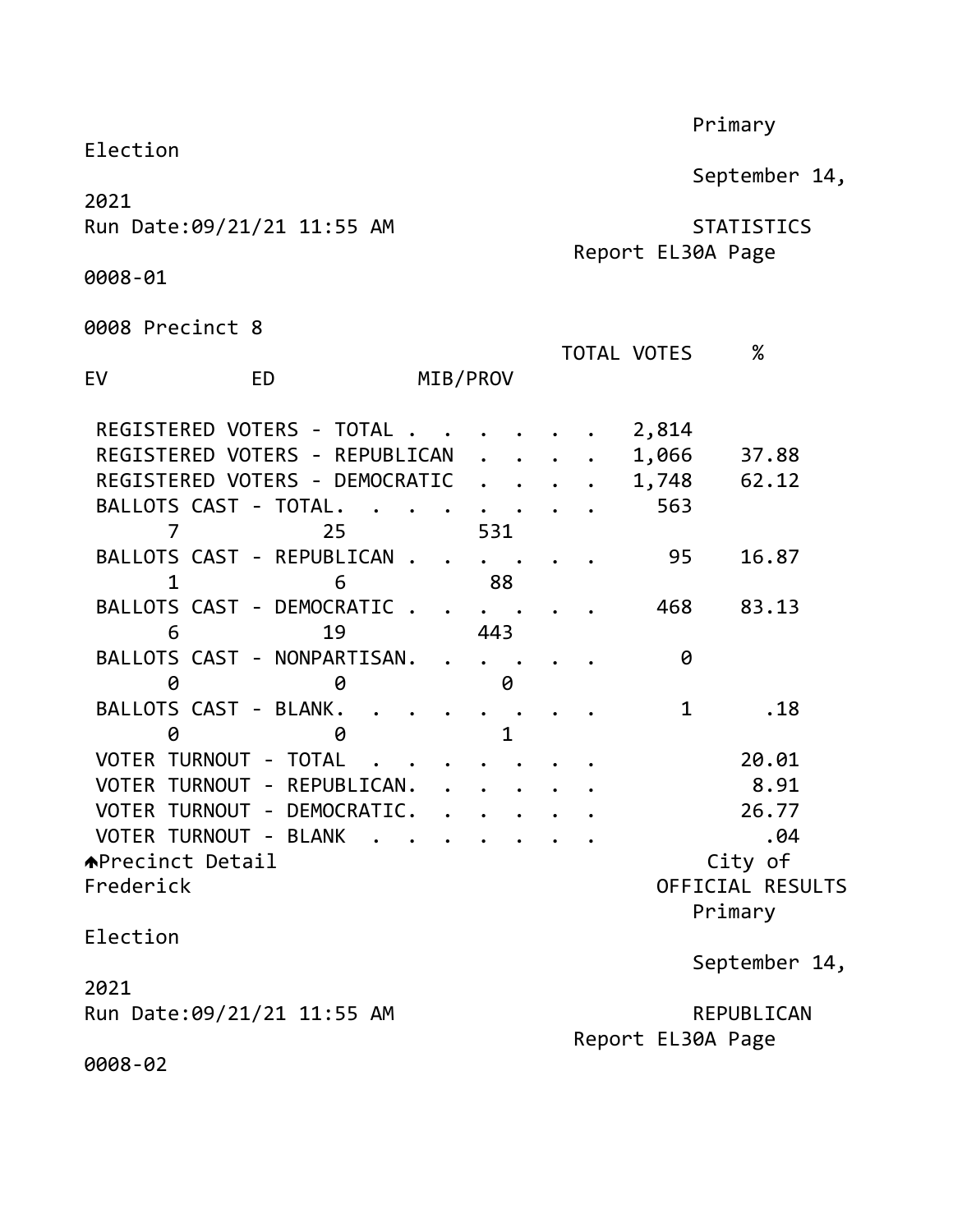|                                     |           |          | Primary              |              |  |             |       |             |                                        |
|-------------------------------------|-----------|----------|----------------------|--------------|--|-------------|-------|-------------|----------------------------------------|
| Election                            |           |          |                      |              |  |             |       |             | September 14,                          |
| 2021<br>Run Date: 09/21/21 11:55 AM |           |          |                      |              |  |             |       |             | <b>STATISTICS</b><br>Report EL30A Page |
| 0008-01                             |           |          |                      |              |  |             |       |             |                                        |
| 0008 Precinct 8                     |           |          |                      |              |  |             |       |             |                                        |
|                                     |           |          |                      |              |  | TOTAL VOTES |       |             | $\%$                                   |
| EV                                  | <b>ED</b> | MIB/PROV |                      |              |  |             |       |             |                                        |
| REGISTERED VOTERS - TOTAL.          |           |          |                      |              |  |             | 2,814 |             |                                        |
| REGISTERED VOTERS - REPUBLICAN      |           |          |                      |              |  |             | 1,066 |             | 37.88                                  |
| REGISTERED VOTERS - DEMOCRATIC      |           |          | $\ddot{\phantom{a}}$ |              |  |             | 1,748 |             | 62.12                                  |
| BALLOTS CAST - TOTAL.               |           |          |                      |              |  |             |       | 563         |                                        |
| 7                                   | 25        |          | 531                  |              |  |             |       |             |                                        |
| BALLOTS CAST - REPUBLICAN.<br>1     | 6         |          |                      | 88           |  |             |       | 95          | 16.87                                  |
| BALLOTS CAST - DEMOCRATIC.          |           |          |                      |              |  |             |       | 468         | 83.13                                  |
| 6                                   | 19        |          | 443                  |              |  |             |       |             |                                        |
| BALLOTS CAST - NONPARTISAN.<br>0    | 0         |          |                      | 0            |  |             |       | 0           |                                        |
| BALLOTS CAST - BLANK.               |           |          |                      |              |  |             |       | $\mathbf 1$ | .18                                    |
| 0                                   | 0         |          |                      | $\mathbf{1}$ |  |             |       |             |                                        |
| VOTER TURNOUT - TOTAL               |           |          |                      |              |  |             |       |             | 20.01                                  |
| VOTER TURNOUT - REPUBLICAN.         |           |          |                      |              |  |             |       |             | 8.91                                   |
| VOTER TURNOUT - DEMOCRATIC          |           |          |                      |              |  |             |       |             | 26.77                                  |
| VOTER TURNOUT - BLANK               |           |          |                      |              |  |             |       |             | .04                                    |
| <b>APrecinct Detail</b>             |           |          |                      |              |  |             |       |             | City of                                |
| Frederick                           |           |          |                      |              |  |             |       |             | OFFICIAL RESULTS                       |
|                                     |           |          |                      |              |  |             |       |             | Primary                                |
| Election                            |           |          |                      |              |  |             |       |             | September 14,                          |
| 2021                                |           |          |                      |              |  |             |       |             |                                        |
| Run Date: 09/21/21 11:55 AM         |           |          |                      |              |  |             |       |             | REPUBLICAN<br>Report EL30A Page        |
| 0008-02                             |           |          |                      |              |  |             |       |             |                                        |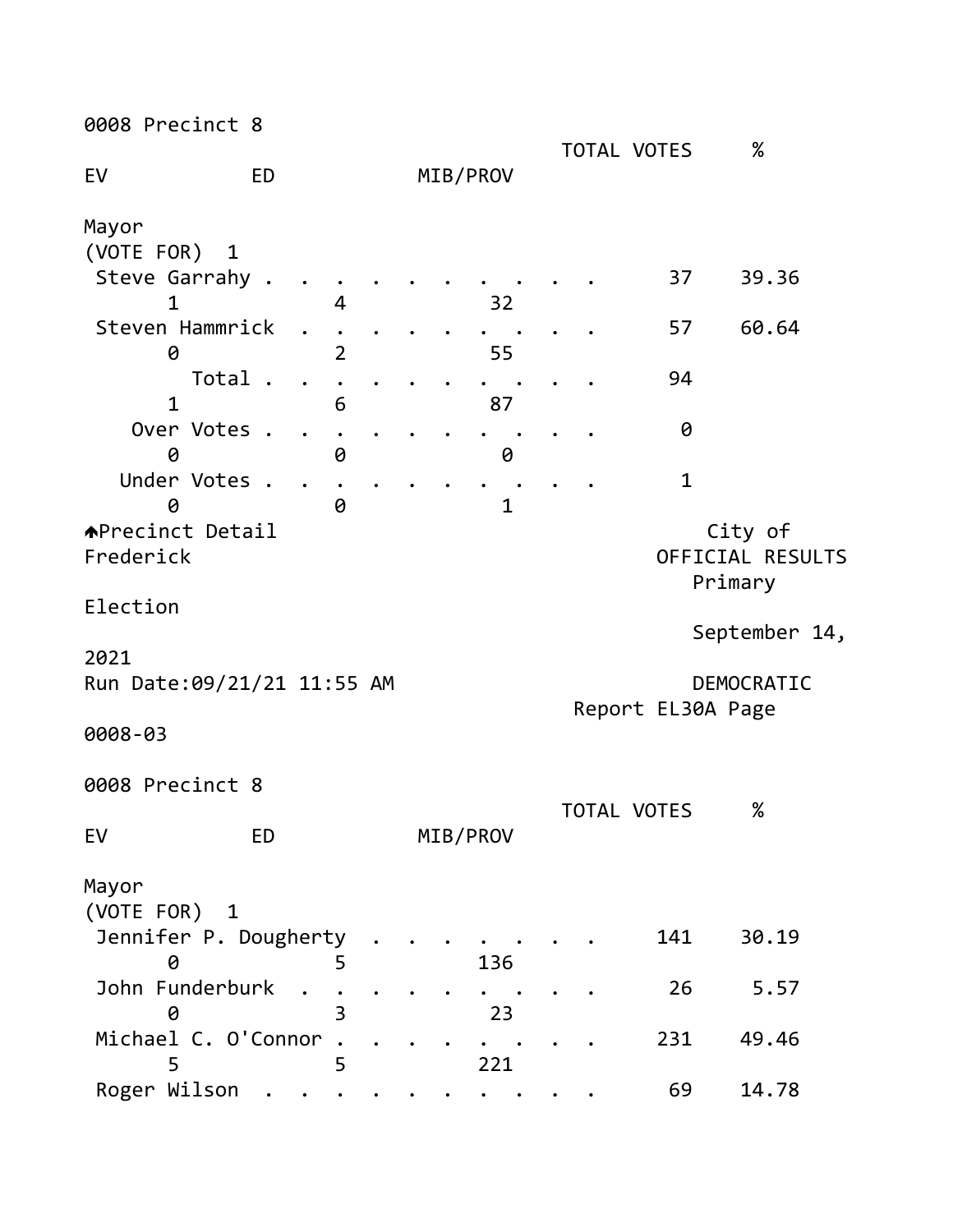0008 Precinct 8

| $\blacksquare$                       |           |                |  |              |  |                    |         | $\%$                        |  |
|--------------------------------------|-----------|----------------|--|--------------|--|--------------------|---------|-----------------------------|--|
| EV                                   | <b>ED</b> |                |  | MIB/PROV     |  | <b>TOTAL VOTES</b> |         |                             |  |
| Mayor                                |           |                |  |              |  |                    |         |                             |  |
| (VOTE FOR) 1<br>Steve Garrahy .<br>1 |           | 4              |  | 32           |  | 37                 |         | 39.36                       |  |
| Steven Hammrick<br>0                 |           | $\overline{2}$ |  | 55           |  | 57                 |         | 60.64                       |  |
| $\mathbf{1}$                         | Total .   | 6              |  | 87           |  | 94                 |         |                             |  |
| Over Votes .<br>0                    |           | 0              |  | 0            |  | 0                  |         |                             |  |
| Under Votes<br>0                     |           | 0              |  | $\mathbf{1}$ |  | $\mathbf{1}$       |         |                             |  |
| <b>↑Precinct Detail</b><br>Frederick |           |                |  |              |  |                    | Primary | City of<br>OFFICIAL RESULTS |  |
| Election                             |           |                |  |              |  |                    |         | September 14,               |  |
| 2021                                 |           |                |  |              |  |                    |         |                             |  |
| Run Date: 09/21/21 11:55 AM          |           |                |  |              |  | Report EL30A Page  |         | DEMOCRATIC                  |  |
| 0008-03                              |           |                |  |              |  |                    |         |                             |  |
| 0008 Precinct 8                      |           |                |  |              |  | <b>TOTAL VOTES</b> |         | $\%$                        |  |
| EV                                   | ED        |                |  | MIB/PROV     |  |                    |         |                             |  |
| Mayor<br>(VOTE FOR) 1                |           |                |  |              |  |                    |         |                             |  |
| Jennifer P. Dougherty<br>0           |           | 5              |  | 136          |  | 141                |         | 30.19                       |  |
| John Funderburk<br>0                 |           | 3              |  | 23           |  | 26                 |         | 5.57                        |  |
| Michael C. O'Connor<br>5             |           | 5              |  | 221          |  | 231                |         | 49.46                       |  |
| Roger Wilson                         |           |                |  |              |  | 69                 |         | 14.78                       |  |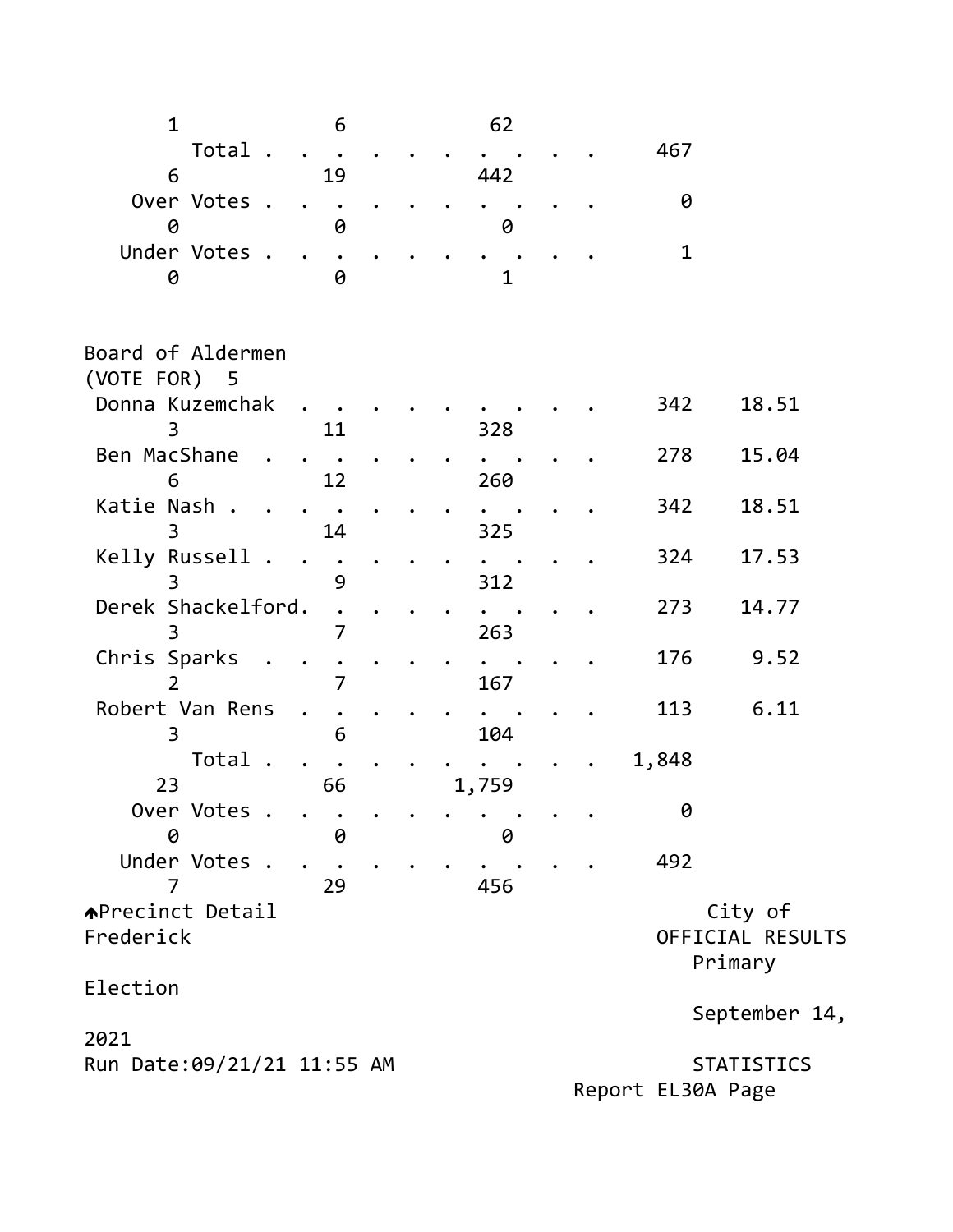| $\mathbf{1}$                         | 6         |  | 62    |  |       |                                        |  |
|--------------------------------------|-----------|--|-------|--|-------|----------------------------------------|--|
| Total.                               |           |  |       |  | 467   |                                        |  |
| 6                                    | 19        |  | 442   |  |       |                                        |  |
| Over Votes .<br>0                    | 0         |  | 0     |  | 0     |                                        |  |
| Under Votes .<br>0                   | 0         |  | 1     |  | 1     |                                        |  |
| Board of Aldermen<br>(VOTE FOR) 5    |           |  |       |  |       |                                        |  |
| Donna Kuzemchak<br>3                 | <u>11</u> |  | 328   |  | 342   | 18.51                                  |  |
| Ben MacShane<br>6                    | 12        |  | 260   |  | 278   | 15.04                                  |  |
| Katie Nash.<br>3                     | 14        |  | 325   |  | 342   | 18.51                                  |  |
| Kelly Russell .<br>3                 | 9         |  | 312   |  | 324   | 17.53                                  |  |
| Derek Shackelford.<br>3              | 7         |  | 263   |  | 273   | 14.77                                  |  |
| Chris Sparks                         | 7         |  | 167   |  | 176   | 9.52                                   |  |
| Robert Van Rens<br>3                 | 6         |  | 104   |  | 113   | 6.11                                   |  |
| Total<br>23                          | 66        |  | 1,759 |  | 1,848 |                                        |  |
| Over Votes .<br>0                    | 0         |  | 0     |  | 0     |                                        |  |
| Under Votes .<br>7                   | 29        |  | 456   |  | 492   |                                        |  |
| <b>APrecinct Detail</b><br>Frederick |           |  |       |  |       | City of<br>OFFICIAL RESULTS<br>Primary |  |
| Election                             |           |  |       |  |       | September 14,                          |  |
| 2021                                 |           |  |       |  |       |                                        |  |
| Run Date: 09/21/21 11:55 AM          |           |  |       |  |       | <b>STATISTICS</b>                      |  |

Report EL30A Page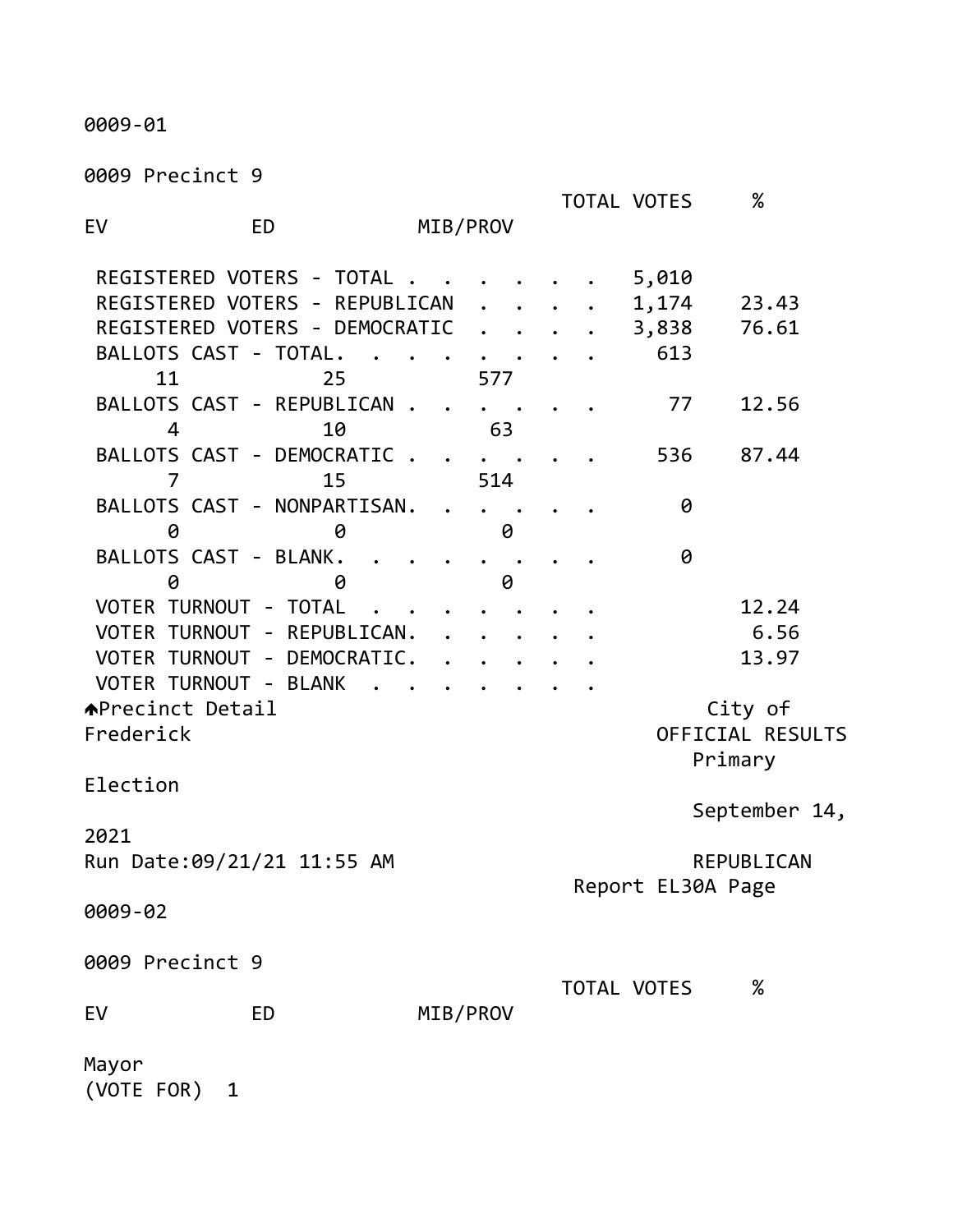0009-01

0009 Precinct 9

|                                                |                                                                                                      |          |     |   |  | <b>TOTAL VOTES</b>             | %                                      |  |
|------------------------------------------------|------------------------------------------------------------------------------------------------------|----------|-----|---|--|--------------------------------|----------------------------------------|--|
| EV                                             | <b>ED</b>                                                                                            | MIB/PROV |     |   |  |                                |                                        |  |
| BALLOTS CAST - TOTAL.<br>11                    | REGISTERED VOTERS - TOTAL.<br>REGISTERED VOTERS - REPUBLICAN<br>REGISTERED VOTERS - DEMOCRATIC<br>25 |          | 577 |   |  | 5,010<br>1,174<br>3,838<br>613 | 23.43<br>76.61                         |  |
| 4                                              | BALLOTS CAST - REPUBLICAN .<br>10                                                                    |          | 63  |   |  | 77                             | 12.56                                  |  |
| $\overline{7}$                                 | BALLOTS CAST - DEMOCRATIC.<br>15                                                                     |          | 514 |   |  | 536                            | 87.44                                  |  |
| 0                                              | BALLOTS CAST - NONPARTISAN.<br>0                                                                     |          |     | 0 |  | 0                              |                                        |  |
| BALLOTS CAST - BLANK.<br>0                     | 0                                                                                                    |          |     | 0 |  | 0                              |                                        |  |
| VOTER TURNOUT - TOTAL<br>VOTER TURNOUT - BLANK | VOTER TURNOUT - REPUBLICAN.<br>VOTER TURNOUT - DEMOCRATIC.                                           |          |     |   |  |                                | 12.24<br>6.56<br>13.97                 |  |
| <b>APrecinct Detail</b><br>Frederick           |                                                                                                      |          |     |   |  |                                | City of<br>OFFICIAL RESULTS<br>Primary |  |
| Election                                       |                                                                                                      |          |     |   |  |                                | September 14,                          |  |
| 2021<br>Run Date:09/21/21 11:55 AM             |                                                                                                      |          |     |   |  |                                | REPUBLICAN<br>Report EL30A Page        |  |
| 0009-02                                        |                                                                                                      |          |     |   |  |                                |                                        |  |
| 0009 Precinct 9                                |                                                                                                      |          |     |   |  | <b>TOTAL VOTES</b>             | $\%$                                   |  |
| EV                                             | <b>ED</b>                                                                                            | MIB/PROV |     |   |  |                                |                                        |  |
| Mayor<br>(VOTE FOR)<br>1                       |                                                                                                      |          |     |   |  |                                |                                        |  |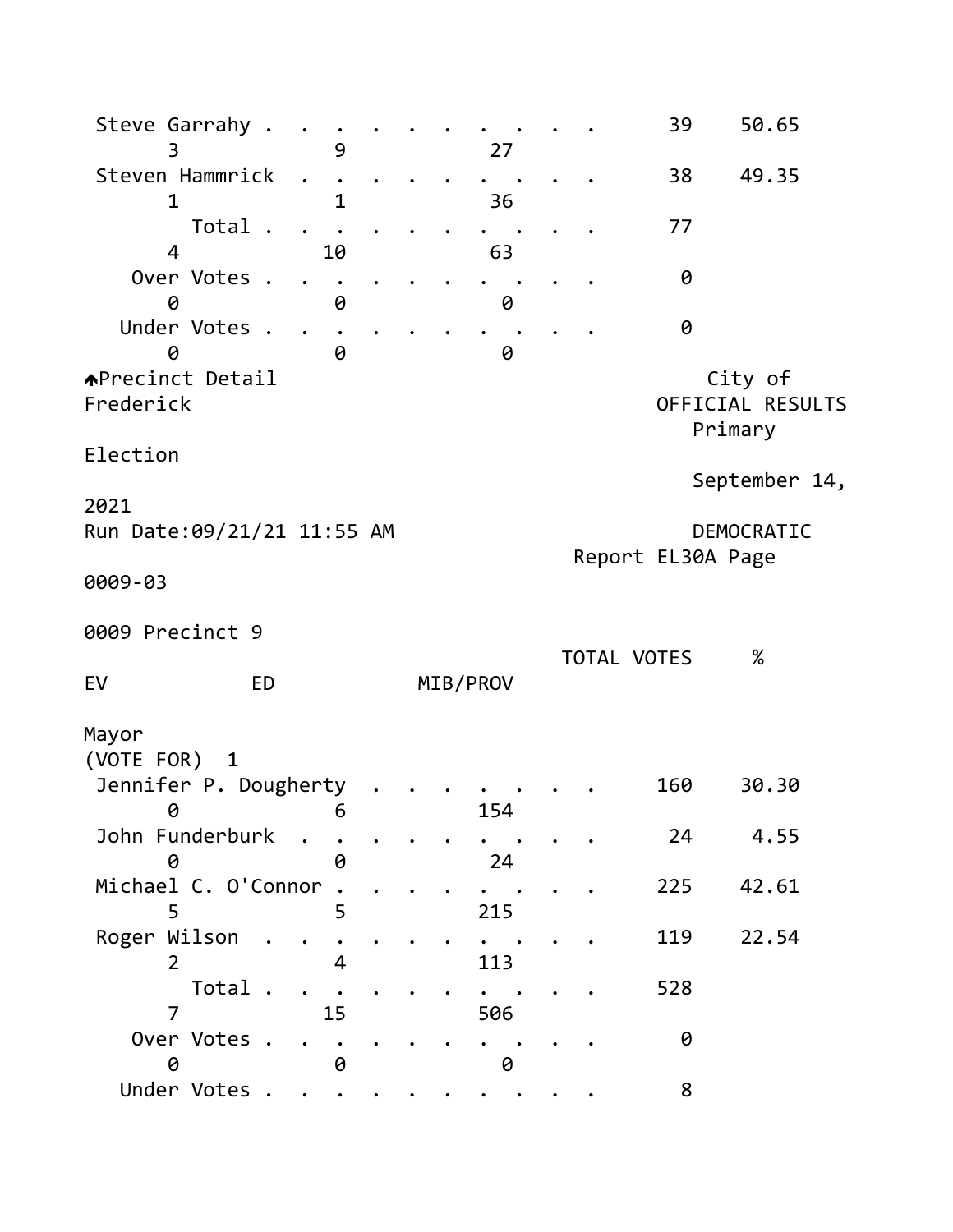| Steve Garrahy .                        | 9                         |  | 27         |  | 39                | 50.65                                  |  |
|----------------------------------------|---------------------------|--|------------|--|-------------------|----------------------------------------|--|
| Steven Hammrick                        |                           |  |            |  | 38                | 49.35                                  |  |
| 1<br>Total.                            | 1                         |  | 36         |  | 77                |                                        |  |
| $\overline{4}$<br>Over Votes .         | 10                        |  | 63         |  | 0                 |                                        |  |
| 0<br>Under Votes .<br>0                | 0<br>0                    |  | 0<br>0     |  | 0                 |                                        |  |
| <b>APrecinct Detail</b><br>Frederick   |                           |  |            |  |                   | City of<br>OFFICIAL RESULTS<br>Primary |  |
| Election                               |                           |  |            |  |                   | September 14,                          |  |
| 2021<br>Run Date:09/21/21 11:55 AM     |                           |  |            |  |                   | DEMOCRATIC                             |  |
| 0009-03                                |                           |  |            |  | Report EL30A Page |                                        |  |
| 0009 Precinct 9                        |                           |  |            |  |                   |                                        |  |
| <b>ED</b><br>EV                        |                           |  | MIB/PROV   |  | TOTAL VOTES       | %                                      |  |
| Mayor<br>(VOTE FOR)<br>$\mathbf{1}$    |                           |  |            |  |                   |                                        |  |
| Jennifer P. Dougherty<br>0<br>$\sim$ 6 |                           |  | $15\Delta$ |  | 160               | 30.30                                  |  |
| John Funderburk<br>0                   | $\ddot{\phantom{a}}$<br>Ø |  | 24         |  | 24                | 4.55                                   |  |
| Michael C. O'Connor<br>5               | 5                         |  | 215        |  | 225               | 42.61                                  |  |
| Roger Wilson<br>$\overline{2}$         | 4                         |  | 113        |  | 119               | 22.54                                  |  |
| Total.<br>7                            | 15                        |  | 506        |  | 528               |                                        |  |
| Over Votes .<br>0                      | 0                         |  | 0          |  | 0                 |                                        |  |
| Under Votes                            |                           |  |            |  | 8                 |                                        |  |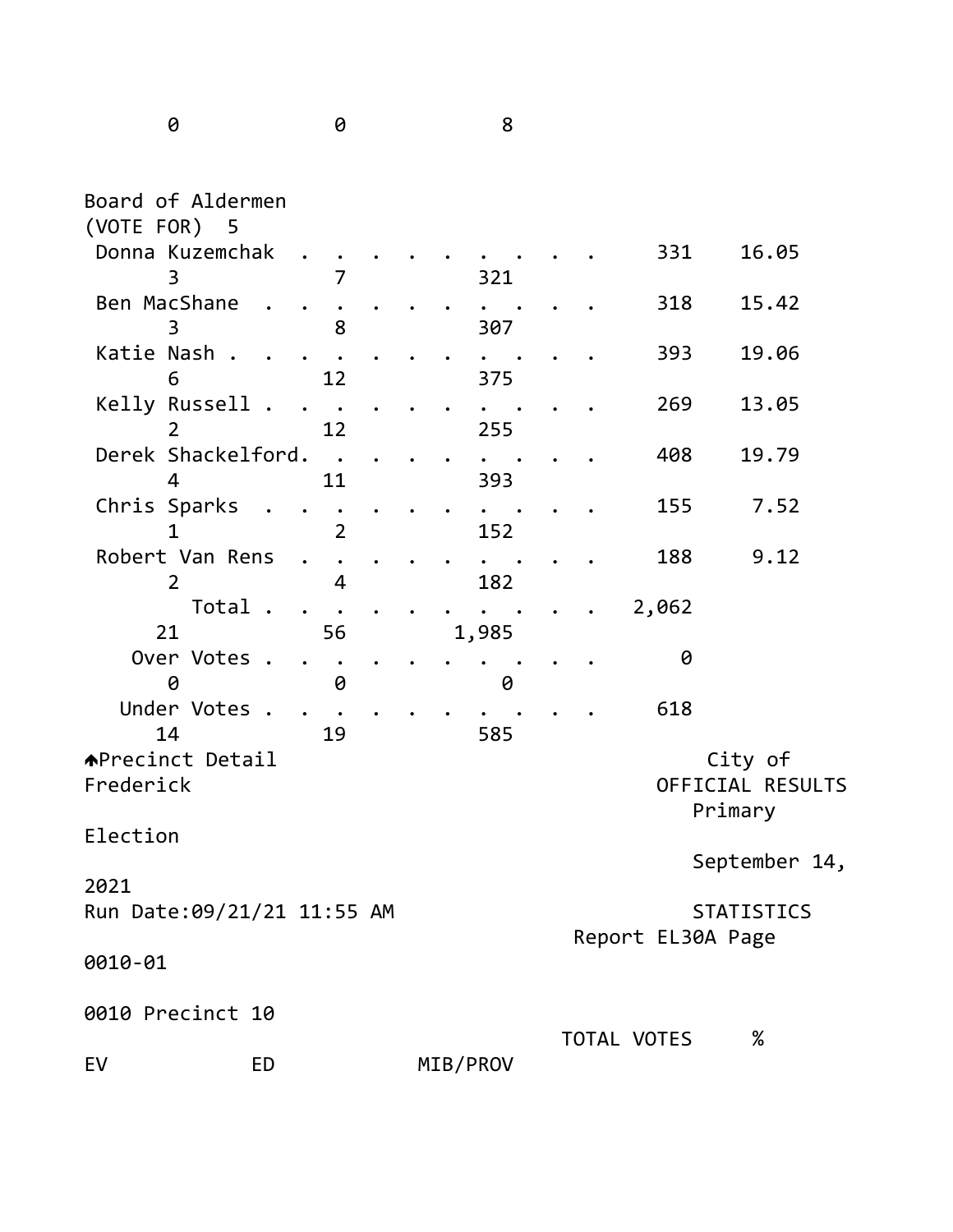0 0 8

| Board of Aldermen<br>(VOTE FOR) 5         |                |  |          |  |                   |         |                             |  |
|-------------------------------------------|----------------|--|----------|--|-------------------|---------|-----------------------------|--|
| Donna Kuzemchak<br>3                      | 7              |  | 321      |  | 331               |         | 16.05                       |  |
| Ben MacShane<br>3                         | 8              |  | 307      |  | 318               |         | 15.42                       |  |
| Katie Nash .<br>6                         | 12             |  | 375      |  | 393               |         | 19.06                       |  |
| Kelly Russell<br>$\sim$<br>$\overline{2}$ | 12             |  | 255      |  | 269               |         | 13.05                       |  |
| Derek Shackelford.<br>4                   | $\sim$<br>11   |  | 393      |  | 408               |         | 19.79                       |  |
| Chris Sparks<br>1                         | $\overline{2}$ |  | 152      |  | 155               |         | 7.52                        |  |
| Robert Van Rens<br>$\overline{2}$         | 4              |  | 182      |  | 188               |         | 9.12                        |  |
| Total.<br>21                              | 56             |  | 1,985    |  | 2,062             |         |                             |  |
| Over Votes .<br>0                         | 0              |  | 0        |  | 0                 |         |                             |  |
| Under Votes .<br>14                       | 19             |  | 585      |  | 618               |         |                             |  |
| <b>APrecinct Detail</b><br>Frederick      |                |  |          |  |                   | Primary | City of<br>OFFICIAL RESULTS |  |
| Election                                  |                |  |          |  |                   |         | September 14,               |  |
| 2021<br>Run Date:09/21/21 11:55 AM        |                |  |          |  | Report EL30A Page |         | <b>STATISTICS</b>           |  |
| 0010-01                                   |                |  |          |  |                   |         |                             |  |
| 0010 Precinct 10                          |                |  |          |  | TOTAL VOTES       |         | $\%$                        |  |
| EV<br><b>ED</b>                           |                |  | MIB/PROV |  |                   |         |                             |  |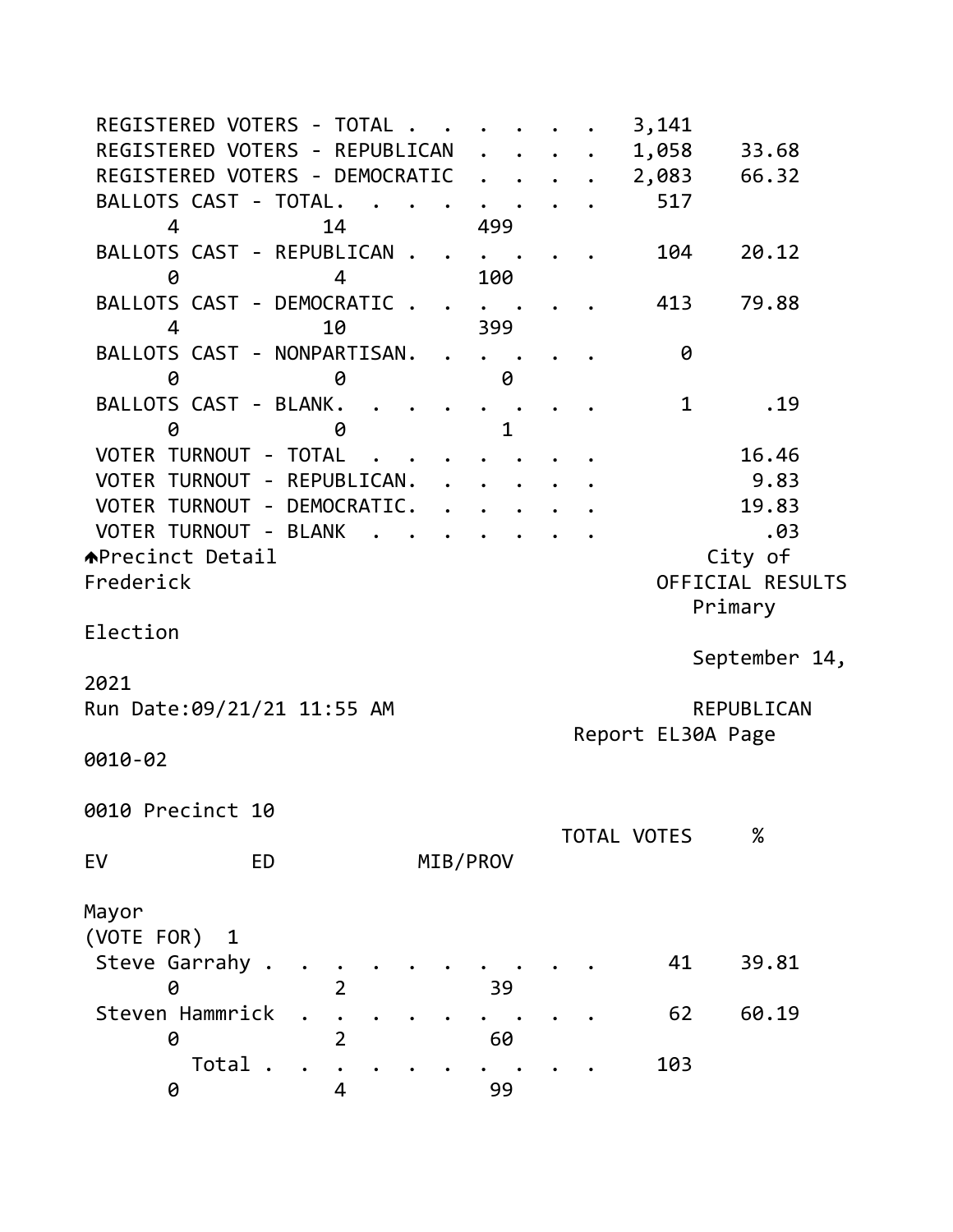| REGISTERED VOTERS - TOTAL .                        | 3,141                      |
|----------------------------------------------------|----------------------------|
| REGISTERED VOTERS - REPUBLICAN                     | 1,058<br>33.68             |
| REGISTERED VOTERS - DEMOCRATIC                     | 2,083<br>66.32             |
| BALLOTS CAST - TOTAL.                              | 517                        |
| 499<br>4<br>14                                     |                            |
| BALLOTS CAST - REPUBLICAN .                        | 20.12<br>104               |
| 100<br>0<br>4                                      |                            |
| BALLOTS CAST - DEMOCRATIC.<br>$\ddot{\phantom{1}}$ | 79.88<br>413               |
| 399<br>10<br>$\overline{4}$                        |                            |
| BALLOTS CAST - NONPARTISAN.                        | 0                          |
| 0<br>0<br>0                                        |                            |
| BALLOTS CAST - BLANK.                              | 1<br>.19                   |
| $\mathbf{1}$<br>0<br>0                             |                            |
| VOTER TURNOUT - TOTAL                              | 16.46                      |
| VOTER TURNOUT - REPUBLICAN.                        | 9.83                       |
| VOTER TURNOUT - DEMOCRATIC.                        | 19.83                      |
| VOTER TURNOUT - BLANK<br>$\sim$                    | .03                        |
| <b>APrecinct Detail</b>                            | City of                    |
| Frederick                                          | OFFICIAL RESULTS           |
|                                                    | Primary                    |
| Election                                           |                            |
|                                                    | September 14,              |
| 2021                                               |                            |
| Run Date: 09/21/21 11:55 AM                        | REPUBLICAN                 |
|                                                    | Report EL30A Page          |
| 0010-02                                            |                            |
|                                                    |                            |
| 0010 Precinct 10                                   |                            |
|                                                    | $\%$<br><b>TOTAL VOTES</b> |
| EV<br>MIB/PROV<br><b>ED</b>                        |                            |
|                                                    |                            |
| Mayor                                              |                            |
| (VOTE FOR)<br>1                                    |                            |
| Steve Garrahy .                                    | 41<br>39.81                |
| $\overline{2}$<br>0<br>39                          |                            |
| Steven Hammrick                                    | 60.19<br>62                |
|                                                    |                            |
| 0<br>60<br>2                                       |                            |
| Total<br>99<br>0<br>4                              | 103                        |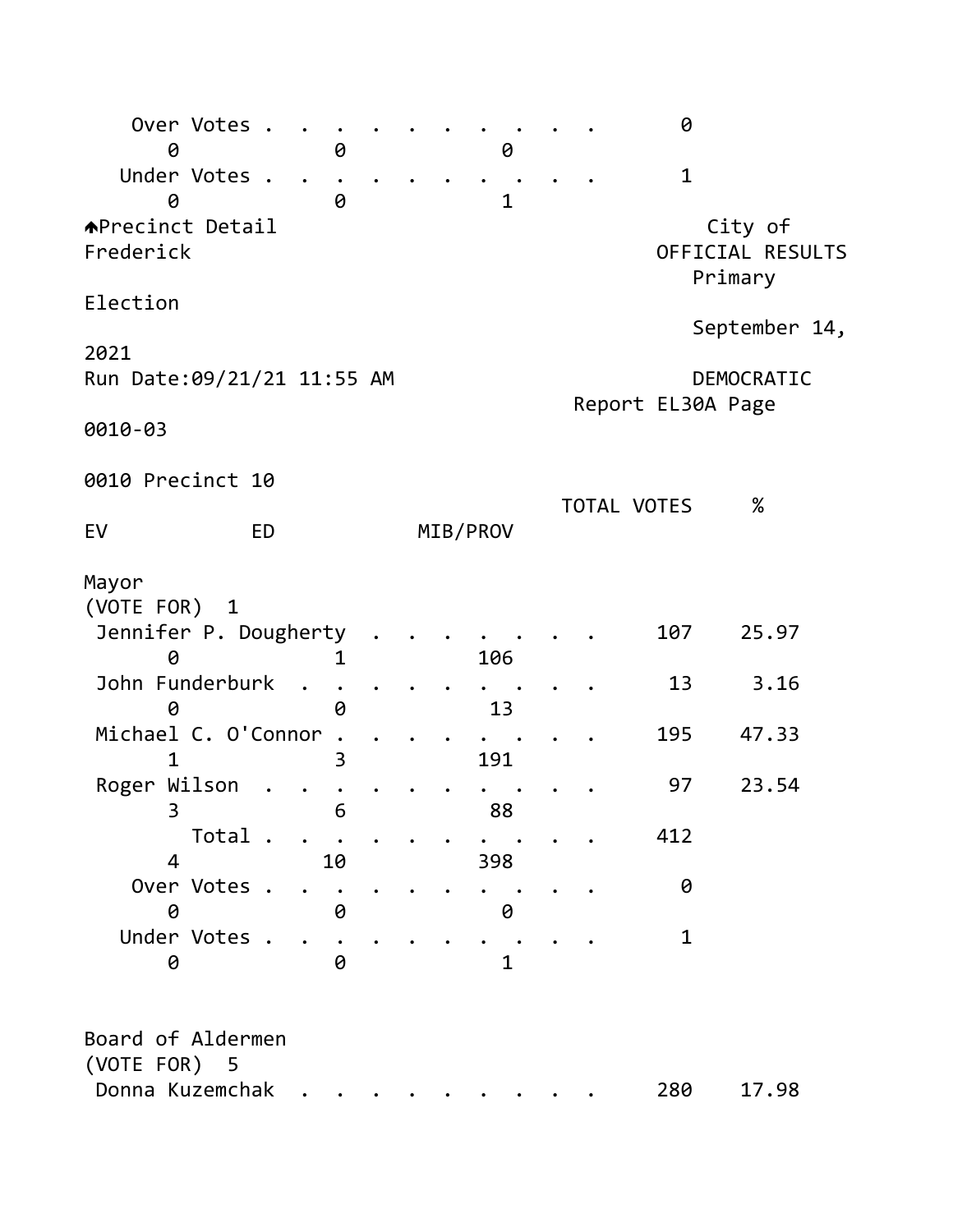| Over Votes<br>0                                      | 0  |  | 0            |             | 0                 |                                        |  |
|------------------------------------------------------|----|--|--------------|-------------|-------------------|----------------------------------------|--|
| Under Votes<br>0                                     | 0  |  | $\mathbf{1}$ |             | $\mathbf 1$       |                                        |  |
| <b>APrecinct Detail</b><br>Frederick                 |    |  |              |             |                   | City of<br>OFFICIAL RESULTS<br>Primary |  |
| Election                                             |    |  |              |             |                   |                                        |  |
| 2021                                                 |    |  |              |             |                   | September 14,                          |  |
| Run Date:09/21/21 11:55 AM                           |    |  |              |             | Report EL30A Page | DEMOCRATIC                             |  |
| 0010-03                                              |    |  |              |             |                   |                                        |  |
| 0010 Precinct 10                                     |    |  |              |             |                   |                                        |  |
| EV<br><b>ED</b>                                      |    |  | MIB/PROV     | TOTAL VOTES |                   | $\%$                                   |  |
| Mayor<br>(VOTE FOR) 1<br>Jennifer P. Dougherty       | 1  |  | 106          |             | 107               | 25.97                                  |  |
| John Funderburk<br>0                                 | 0  |  | 13           |             | 13                | 3.16                                   |  |
| Michael C. O'Connor                                  | 3  |  | 191          |             | 195               | 47.33                                  |  |
| Roger Wilson<br>₹                                    | 6  |  | 88           |             | 97                | 23.54                                  |  |
| Total .<br>$\overline{4}$                            | 10 |  | 398          |             | 412               |                                        |  |
| Over Votes .<br>0                                    | 0  |  | 0            |             | 0                 |                                        |  |
| Under Votes .<br>0                                   | 0  |  | $\mathbf{1}$ |             | 1                 |                                        |  |
| Board of Aldermen<br>(VOTE FOR) 5<br>Donna Kuzemchak |    |  |              |             | 280               | 17.98                                  |  |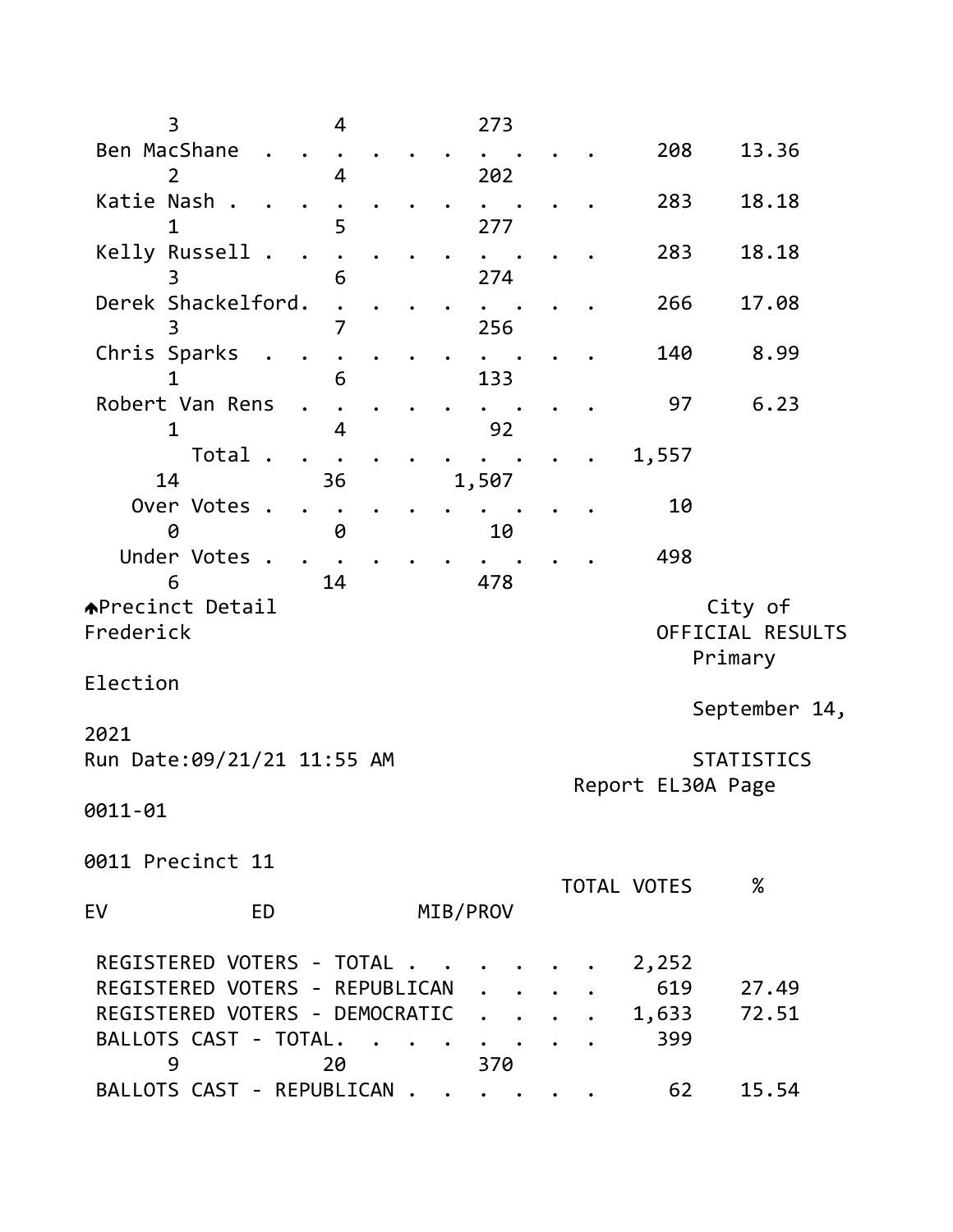| $\overline{3}$<br>4                       |  | 273      |  |             |                                        |
|-------------------------------------------|--|----------|--|-------------|----------------------------------------|
| Ben MacShane                              |  |          |  | 208         | 13.36                                  |
| $\overline{2}$<br>4                       |  | 202      |  |             |                                        |
| Katie Nash.<br>5<br>1                     |  | 277      |  | 283         | 18.18                                  |
| Kelly Russell<br>6                        |  | 274      |  | 283         | 18.18                                  |
| Derek Shackelford.                        |  |          |  | 266         | 17.08                                  |
| 7<br>3<br>Chris Sparks                    |  | 256      |  | 140         | 8.99                                   |
| 6<br>1                                    |  | 133      |  |             |                                        |
| Robert Van Rens<br>$\mathbf 1$<br>4       |  | 92       |  | 97          | 6.23                                   |
| Total<br>$\ddot{\phantom{a}}$<br>14<br>36 |  | 1,507    |  | 1,557       |                                        |
| Over Votes .                              |  |          |  | 10          |                                        |
| 0<br>0                                    |  | 10       |  |             |                                        |
| Under Votes .<br>14<br>6                  |  |          |  | 498         |                                        |
| <b>APrecinct Detail</b>                   |  | 478      |  |             | City of                                |
| Frederick                                 |  |          |  |             | OFFICIAL RESULTS<br>Primary            |
| Election                                  |  |          |  |             |                                        |
| 2021                                      |  |          |  |             | September 14,                          |
| Run Date: 09/21/21 11:55 AM               |  |          |  |             | <b>STATISTICS</b><br>Report EL30A Page |
| 0011-01                                   |  |          |  |             |                                        |
| 0011 Precinct 11                          |  |          |  |             |                                        |
| EV<br>ED                                  |  | MIB/PROV |  | TOTAL VOTES | $\%$                                   |
| REGISTERED VOTERS - TOTAL                 |  |          |  | 2,252       |                                        |
| REGISTERED VOTERS - REPUBLICAN            |  |          |  | 619         | 27.49                                  |
| REGISTERED VOTERS - DEMOCRATIC            |  |          |  | 1,633       | 72.51                                  |
| BALLOTS CAST - TOTAL.<br>9<br>20          |  | 370      |  | 399         |                                        |
| BALLOTS CAST - REPUBLICAN                 |  |          |  | 62          | 15.54                                  |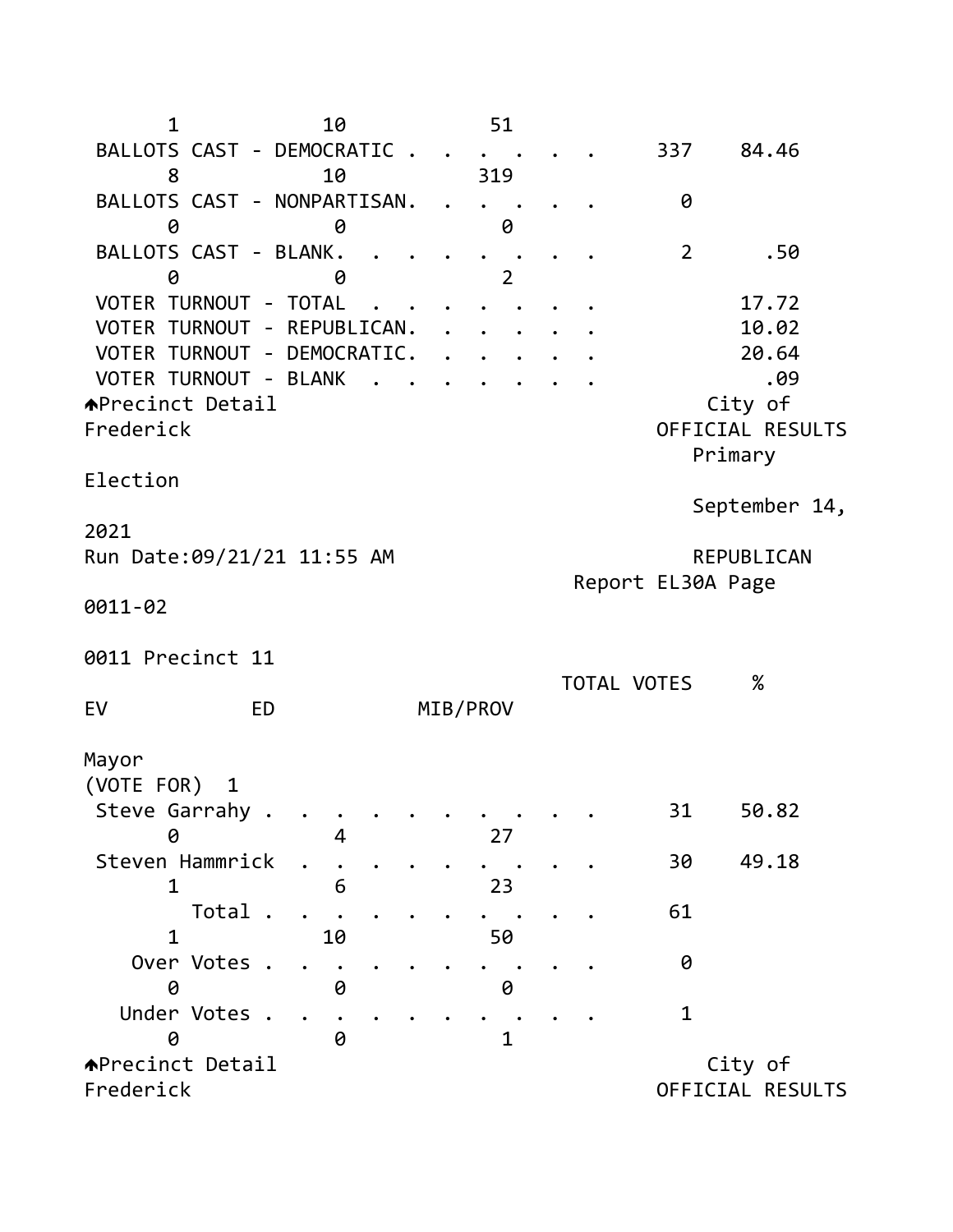1 10 51 BALLOTS CAST - DEMOCRATIC . . . . . . 337 84.46 8 10 319 BALLOTS CAST - NONPARTISAN. . . . . . 0 0 0 0 BALLOTS CAST - BLANK. . . . . . . . . 2 .50 0 0 2 VOTER TURNOUT - TOTAL . . . . . . . . . 17.72 VOTER TURNOUT - REPUBLICAN. . . . . . 10.02 VOTER TURNOUT - DEMOCRATIC. . . . . . 20.64 VOTER TURNOUT - BLANK . . . . . . . .09  $\triangle$ Precinct Detail  $\triangle$ Frederick OFFICIAL RESULTS Primary Election September 14, 2021 Run Date: 09/21/21 11:55 AM REPUBLICAN Report EL30A Page 0011-02 0011 Precinct 11 TOTAL VOTES % EV ED MIB/PROV Mayor (VOTE FOR) 1 Steve Garrahy . . . . . . . . . . . 31 50.82 0 4 27 Steven Hammrick . . . . . . . . . . 30 49.18 1 6 23 Total . . . . . . . . . . 61 1 10 50 Over Votes . . . . . . . . . . . 0 0 0 0 Under Votes . . . . . . . . . . 1 0 0 1 ◆Precinct Detail city of Frederick OFFICIAL RESULTS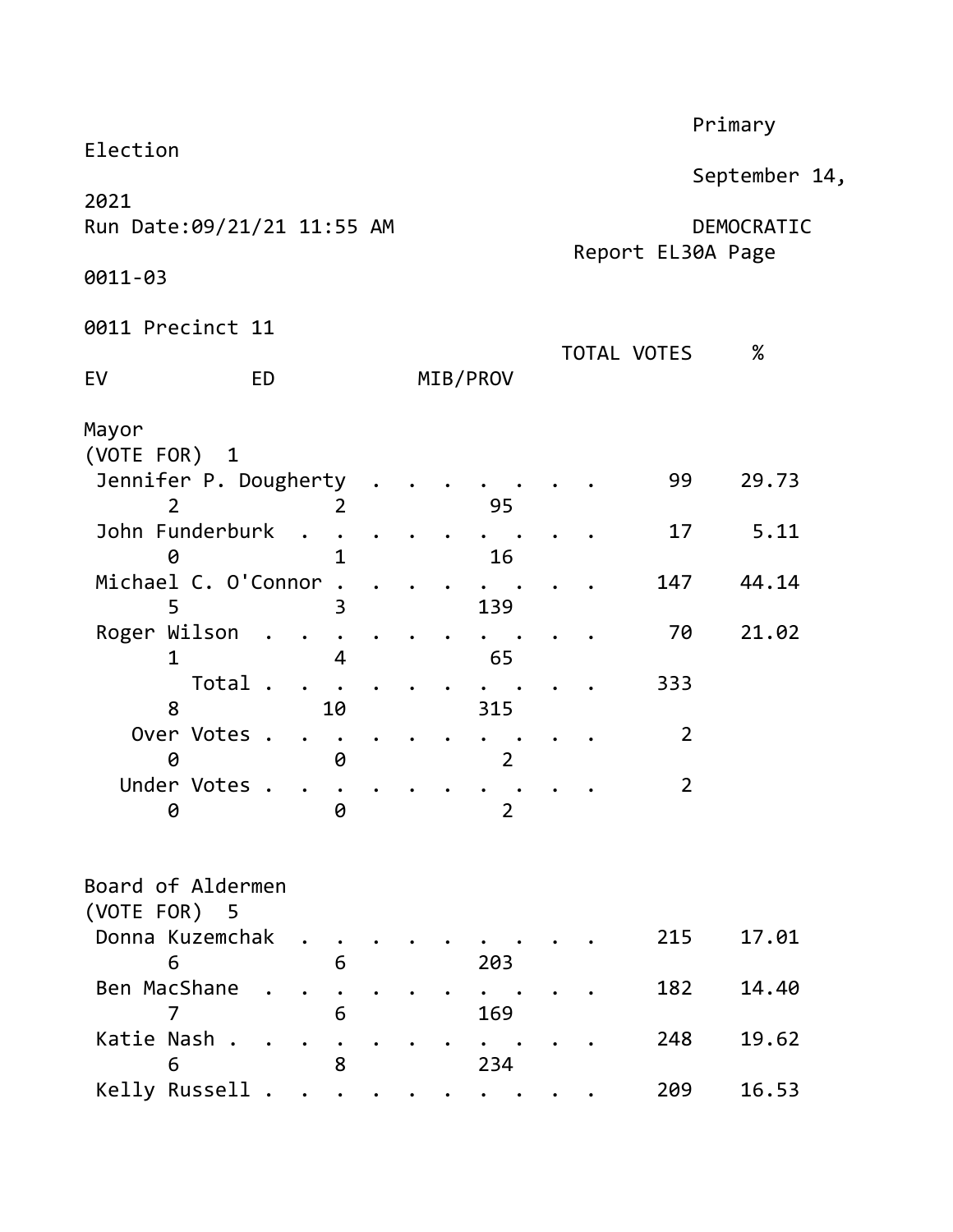|                                              |  |                                 |             |                | Primary |  |
|----------------------------------------------|--|---------------------------------|-------------|----------------|---------|--|
| Election                                     |  | September 14,                   |             |                |         |  |
| 2021<br>Run Date:09/21/21 11:55 AM           |  | DEMOCRATIC<br>Report EL30A Page |             |                |         |  |
| 0011-03                                      |  |                                 |             |                |         |  |
| 0011 Precinct 11                             |  |                                 |             |                |         |  |
| <b>ED</b><br>EV                              |  | MIB/PROV                        | TOTAL VOTES |                | %       |  |
| Mayor<br>(VOTE FOR) 1                        |  |                                 |             |                |         |  |
| Jennifer P. Dougherty<br>$\overline{2}$<br>2 |  | 95                              |             | 99             | 29.73   |  |
| John Funderburk<br>1<br>0                    |  | 16                              |             | 17             | 5.11    |  |
| Michael C. O'Connor<br>5<br>3                |  | 139                             |             | 147            | 44.14   |  |
| Roger Wilson<br>1<br>4                       |  | 65                              |             | 70             | 21.02   |  |
| Total .<br>8<br>10                           |  | 315                             |             | 333            |         |  |
| Over Votes .<br>0<br>0                       |  | $\overline{2}$                  |             | $\overline{2}$ |         |  |
| Under Votes<br>0<br>0                        |  | $\overline{2}$                  |             | $\overline{2}$ |         |  |
| Board of Aldermen<br>(VOTE FOR) 5            |  |                                 |             |                |         |  |
| Donna Kuzemchak<br>6<br>6                    |  | 203                             |             | 215            | 17.01   |  |
| Ben MacShane<br>6<br>7                       |  | 169                             |             | 182            | 14.40   |  |
| Katie Nash .<br>8<br>6                       |  | 234                             |             | 248            | 19.62   |  |
| Kelly Russell                                |  |                                 |             | 209            | 16.53   |  |